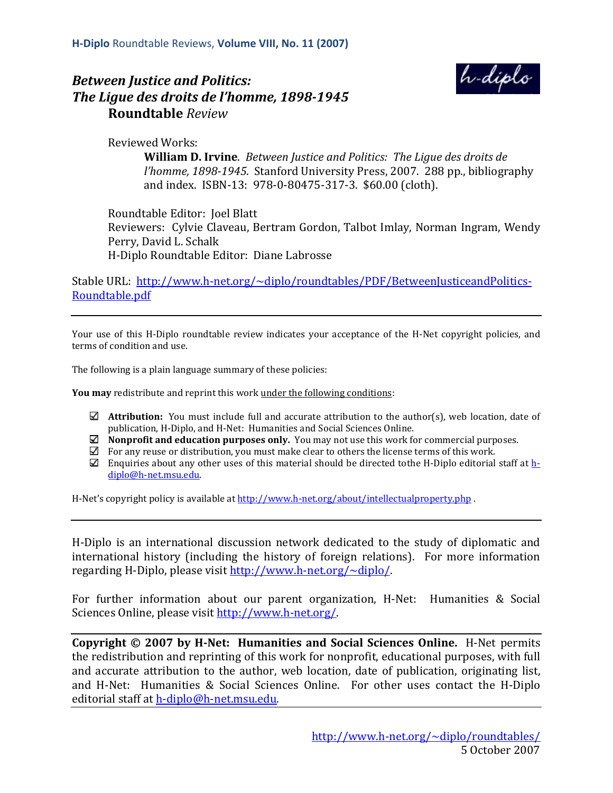



Reviewed Works:

**William D. Irvine**. *Between Justice and Politics: The Ligue des droits de l'homme, 1898-1945*. Stanford University Press, 2007. 288 pp., bibliography and index. ISBN-13: 978-0-80475-317-3. \$60.00 (cloth).

Roundtable Editor: Joel Blatt Reviewers: Cylvie Claveau, Bertram Gordon, Talbot Imlay, Norman Ingram, Wendy Perry, David L. Schalk H-Diplo Roundtable Editor: Diane Labrosse

Stable URL: http://www.h-net.org/~diplo/roundtables/PDF/BetweenJusticeandPolitics-Roundtable.pdf

Your use of this H-Diplo roundtable review indicates your acceptance of the H-Net copyright policies, and terms of condition and use.

The following is a plain language summary of these policies:

**You may** redistribute and reprint this work under the following conditions:

- $\Box$  **Attribution:** You must include full and accurate attribution to the author(s), web location, date of publication, H-Diplo, and H-Net: Humanities and Social Sciences Online.
- **Nonprofit and education purposes only.** You may not use this work for commercial purposes.
- $\boxtimes$  For any reuse or distribution, you must make clear to others the license terms of this work.
- Enquiries about any other uses of this material should be directed tothe H-Diplo editorial staff at  $h$ diplo@h-net.msu.edu.

H-Net's copyright policy is available at http://www.h-net.org/about/intellectualproperty.php .

H-Diplo is an international discussion network dedicated to the study of diplomatic and international history (including the history of foreign relations). For more information regarding H-Diplo, please visit http://www.h-net.org/~diplo/.

For further information about our parent organization, H-Net: Humanities & Social Sciences Online, please visit http://www.h-net.org/.

**Copyright © 2007 by H-Net: Humanities and Social Sciences Online.** H-Net permits the redistribution and reprinting of this work for nonprofit, educational purposes, with full and accurate attribution to the author, web location, date of publication, originating list, and H-Net: Humanities & Social Sciences Online. For other uses contact the H-Diplo editorial staff at h-diplo@h-net.msu.edu.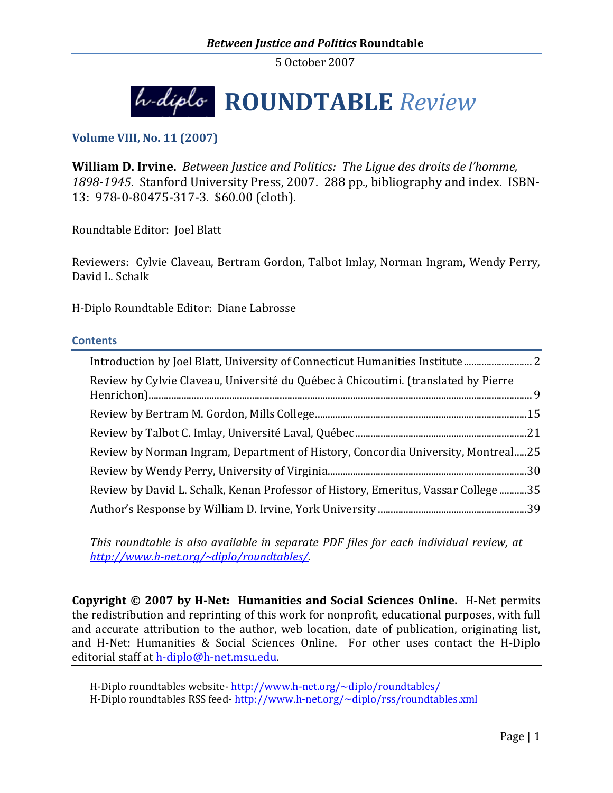

**Volume VIII, No. 11 (2007)**

**William D. Irvine.** *Between Justice and Politics: The Ligue des droits de l'homme, 1898-1945*. Stanford University Press, 2007. 288 pp., bibliography and index. ISBN-13: 978-0-80475-317-3. \$60.00 (cloth).

Roundtable Editor: Joel Blatt

Reviewers: Cylvie Claveau, Bertram Gordon, Talbot Imlay, Norman Ingram, Wendy Perry, David L. Schalk

H-Diplo Roundtable Editor: Diane Labrosse

#### **Contents**

| Review by Cylvie Claveau, Université du Québec à Chicoutimi. (translated by Pierre |  |
|------------------------------------------------------------------------------------|--|
|                                                                                    |  |
|                                                                                    |  |
| Review by Norman Ingram, Department of History, Concordia University, Montreal25   |  |
|                                                                                    |  |
| Review by David L. Schalk, Kenan Professor of History, Emeritus, Vassar College35  |  |
|                                                                                    |  |

*This roundtable is also available in separate PDF files for each individual review, at http://www.h-net.org/~diplo/roundtables/.*

**Copyright © 2007 by H-Net: Humanities and Social Sciences Online.** H-Net permits the redistribution and reprinting of this work for nonprofit, educational purposes, with full and accurate attribution to the author, web location, date of publication, originating list, and H-Net: Humanities & Social Sciences Online. For other uses contact the H-Diplo editorial staff at h-diplo@h-net.msu.edu.

H-Diplo roundtables website- http://www.h-net.org/~diplo/roundtables/ H-Diplo roundtables RSS feed- http://www.h-net.org/~diplo/rss/roundtables.xml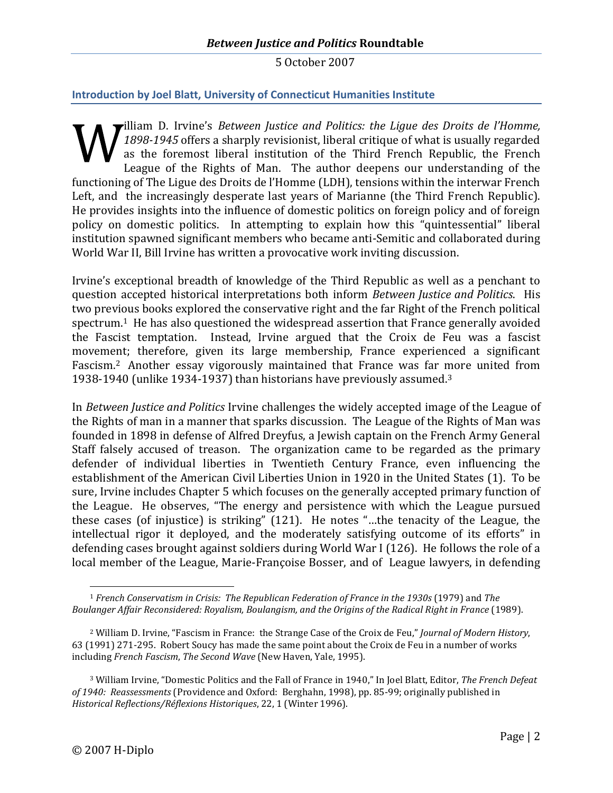# **Introduction by Joel Blatt, University of Connecticut Humanities Institute**

<span id="page-2-0"></span>illiam D. Irvine's *Between Justice and Politics: the Ligue des Droits de l'Homme, 1898-1945* offers a sharply revisionist, liberal critique of what is usually regarded as the foremost liberal institution of the Third French Republic, the French League of the Rights of Man. The author deepens our understanding of the functioning of The Ligue des Droits de l'Homme (LDH), tensions within the interwar French Left, and the increasingly desperate last years of Marianne (the Third French Republic). He provides insights into the influence of domestic politics on foreign policy and of foreign policy on domestic politics. In attempting to explain how this "quintessential" liberal institution spawned significant members who became anti-Semitic and collaborated during World War II, Bill Irvine has written a provocative work inviting discussion.

Irvine's exceptional breadth of knowledge of the Third Republic as well as a penchant to question accepted historical interpretations both inform *Between Justice and Politics*. His two previous books explored the conservative right and the far Right of the French political spectrum.[1](#page-2-1) He has also questioned the widespread assertion that France generally avoided the Fascist temptation. Instead, Irvine argued that the Croix de Feu was a fascist movement; therefore, given its large membership, France experienced a significant Fascism.[2](#page-2-2) Another essay vigorously maintained that France was far more united from 1938-1940 (unlike 1934-1937) than historians have previouslyassumed[.](#page-2-3)<sup>3</sup>

In *Between Justice and Politics* Irvine challenges the widely accepted image of the League of the Rights of man in a manner that sparks discussion. The League of the Rights of Man was founded in 1898 in defense of Alfred Dreyfus, a Jewish captain on the French Army General Staff falsely accused of treason. The organization came to be regarded as the primary defender of individual liberties in Twentieth Century France, even influencing the establishment of the American Civil Liberties Union in 1920 in the United States (1). To be sure, Irvine includes Chapter 5 which focuses on the generally accepted primary function of the League. He observes, "The energy and persistence with which the League pursued these cases (of injustice) is striking" (121). He notes "…the tenacity of the League, the intellectual rigor it deployed, and the moderately satisfying outcome of its efforts" in defending cases brought against soldiers during World War I (126). He follows the role of a local member of the League, Marie-Françoise Bosser, and of League lawyers, in defending

<span id="page-2-1"></span><sup>1</sup> *French Conservatism in Crisis: The Republican Federation of France in the 1930s* (1979) and *The Boulanger Affair Reconsidered: Royalism, Boulangism, and the Origins of the Radical Right in France* (1989).

<span id="page-2-2"></span><sup>2</sup> William D. Irvine, "Fascism in France: the Strange Case of the Croix de Feu," *Journal of Modern History*, 63 (1991) 271-295. Robert Soucy has made the same point about the Croix de Feu in a number of works including *French Fascism*, *The Second Wave* (New Haven, Yale, 1995).

<span id="page-2-3"></span><sup>3</sup> William Irvine, "Domestic Politics and the Fall of France in 1940," In Joel Blatt, Editor, *The French Defeat of 1940: Reassessments* (Providence and Oxford: Berghahn, 1998), pp. 85-99; originally published in *Historical Reflections/Réflexions Historiques*, 22, 1 (Winter 1996).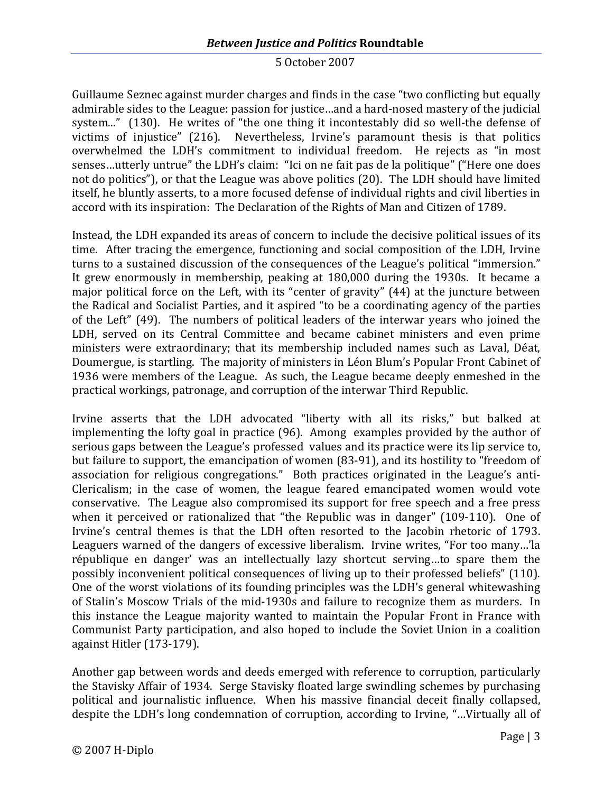Guillaume Seznec against murder charges and finds in the case "two conflicting but equally admirable sides to the League: passion for justice…and a hard-nosed mastery of the judicial system..." (130). He writes of "the one thing it incontestably did so well-the defense of victims of injustice" (216). Nevertheless, Irvine's paramount thesis is that politics overwhelmed the LDH's commitment to individual freedom. He rejects as "in most senses…utterly untrue" the LDH's claim: "Ici on ne fait pas de la politique" ("Here one does not do politics"), or that the League was above politics (20). The LDH should have limited itself, he bluntly asserts, to a more focused defense of individual rights and civil liberties in accord with its inspiration: The Declaration of the Rights of Man and Citizen of 1789.

Instead, the LDH expanded its areas of concern to include the decisive political issues of its time. After tracing the emergence, functioning and social composition of the LDH, Irvine turns to a sustained discussion of the consequences of the League's political "immersion." It grew enormously in membership, peaking at 180,000 during the 1930s. It became a major political force on the Left, with its "center of gravity" (44) at the juncture between the Radical and Socialist Parties, and it aspired "to be a coordinating agency of the parties of the Left" (49). The numbers of political leaders of the interwar years who joined the LDH, served on its Central Committee and became cabinet ministers and even prime ministers were extraordinary; that its membership included names such as Laval, Déat, Doumergue, is startling. The majority of ministers in Léon Blum's Popular Front Cabinet of 1936 were members of the League. As such, the League became deeply enmeshed in the practical workings, patronage, and corruption of the interwar Third Republic.

Irvine asserts that the LDH advocated "liberty with all its risks," but balked at implementing the lofty goal in practice (96). Among examples provided by the author of serious gaps between the League's professed values and its practice were its lip service to, but failure to support, the emancipation of women (83-91), and its hostility to "freedom of association for religious congregations." Both practices originated in the League's anti-Clericalism; in the case of women, the league feared emancipated women would vote conservative. The League also compromised its support for free speech and a free press when it perceived or rationalized that "the Republic was in danger" (109-110). One of Irvine's central themes is that the LDH often resorted to the Jacobin rhetoric of 1793. Leaguers warned of the dangers of excessive liberalism. Irvine writes, "For too many…'la république en danger' was an intellectually lazy shortcut serving…to spare them the possibly inconvenient political consequences of living up to their professed beliefs" (110). One of the worst violations of its founding principles was the LDH's general whitewashing of Stalin's Moscow Trials of the mid-1930s and failure to recognize them as murders. In this instance the League majority wanted to maintain the Popular Front in France with Communist Party participation, and also hoped to include the Soviet Union in a coalition against Hitler (173-179).

Another gap between words and deeds emerged with reference to corruption, particularly the Stavisky Affair of 1934. Serge Stavisky floated large swindling schemes by purchasing political and journalistic influence. When his massive financial deceit finally collapsed, despite the LDH's long condemnation of corruption, according to Irvine, "…Virtually all of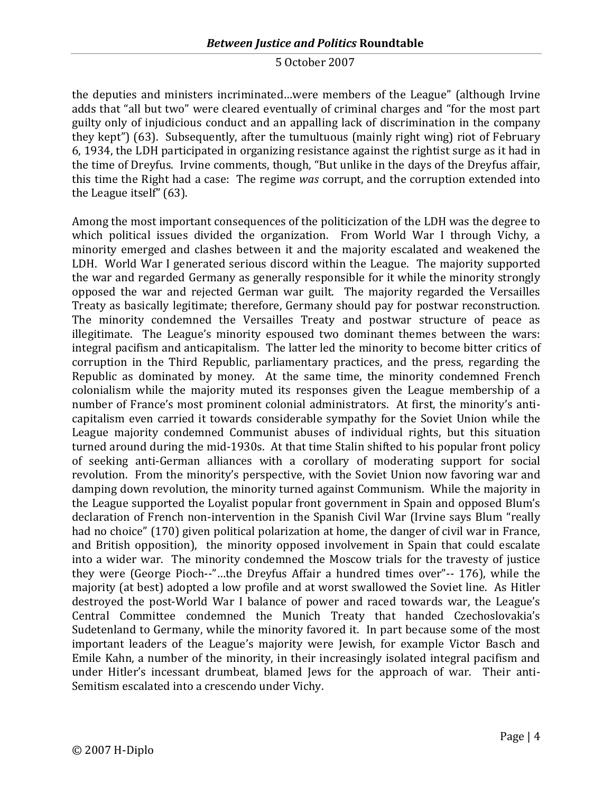the deputies and ministers incriminated…were members of the League" (although Irvine adds that "all but two" were cleared eventually of criminal charges and "for the most part guilty only of injudicious conduct and an appalling lack of discrimination in the company they kept") (63). Subsequently, after the tumultuous (mainly right wing) riot of February 6, 1934, the LDH participated in organizing resistance against the rightist surge as it had in the time of Dreyfus. Irvine comments, though, "But unlike in the days of the Dreyfus affair, this time the Right had a case: The regime *was* corrupt, and the corruption extended into the League itself" (63).

Among the most important consequences of the politicization of the LDH was the degree to which political issues divided the organization. From World War I through Vichy, a minority emerged and clashes between it and the majority escalated and weakened the LDH. World War I generated serious discord within the League. The majority supported the war and regarded Germany as generally responsible for it while the minority strongly opposed the war and rejected German war guilt. The majority regarded the Versailles Treaty as basically legitimate; therefore, Germany should pay for postwar reconstruction. The minority condemned the Versailles Treaty and postwar structure of peace as illegitimate. The League's minority espoused two dominant themes between the wars: integral pacifism and anticapitalism. The latter led the minority to become bitter critics of corruption in the Third Republic, parliamentary practices, and the press, regarding the Republic as dominated by money. At the same time, the minority condemned French colonialism while the majority muted its responses given the League membership of a number of France's most prominent colonial administrators. At first, the minority's anticapitalism even carried it towards considerable sympathy for the Soviet Union while the League majority condemned Communist abuses of individual rights, but this situation turned around during the mid-1930s. At that time Stalin shifted to his popular front policy of seeking anti-German alliances with a corollary of moderating support for social revolution. From the minority's perspective, with the Soviet Union now favoring war and damping down revolution, the minority turned against Communism. While the majority in the League supported the Loyalist popular front government in Spain and opposed Blum's declaration of French non-intervention in the Spanish Civil War (Irvine says Blum "really had no choice" (170) given political polarization at home, the danger of civil war in France, and British opposition), the minority opposed involvement in Spain that could escalate into a wider war. The minority condemned the Moscow trials for the travesty of justice they were (George Pioch--"…the Dreyfus Affair a hundred times over"-- 176), while the majority (at best) adopted a low profile and at worst swallowed the Soviet line. As Hitler destroyed the post-World War I balance of power and raced towards war, the League's Central Committee condemned the Munich Treaty that handed Czechoslovakia's Sudetenland to Germany, while the minority favored it. In part because some of the most important leaders of the League's majority were Jewish, for example Victor Basch and Emile Kahn, a number of the minority, in their increasingly isolated integral pacifism and under Hitler's incessant drumbeat, blamed Jews for the approach of war. Their anti-Semitism escalated into a crescendo under Vichy.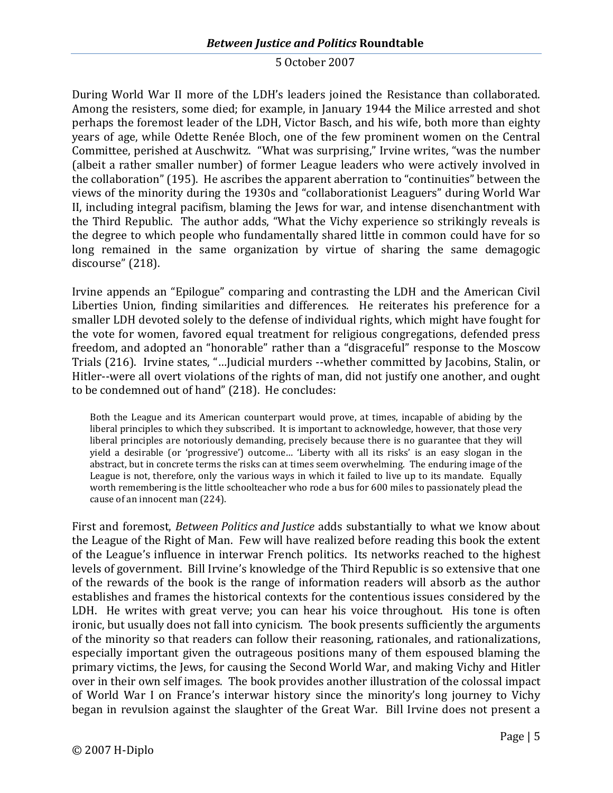During World War II more of the LDH's leaders joined the Resistance than collaborated. Among the resisters, some died; for example, in January 1944 the Milice arrested and shot perhaps the foremost leader of the LDH, Victor Basch, and his wife, both more than eighty years of age, while Odette Renée Bloch, one of the few prominent women on the Central Committee, perished at Auschwitz. "What was surprising," Irvine writes, "was the number (albeit a rather smaller number) of former League leaders who were actively involved in the collaboration" (195). He ascribes the apparent aberration to "continuities" between the views of the minority during the 1930s and "collaborationist Leaguers" during World War II, including integral pacifism, blaming the Jews for war, and intense disenchantment with the Third Republic. The author adds, "What the Vichy experience so strikingly reveals is the degree to which people who fundamentally shared little in common could have for so long remained in the same organization by virtue of sharing the same demagogic discourse" (218).

Irvine appends an "Epilogue" comparing and contrasting the LDH and the American Civil Liberties Union, finding similarities and differences. He reiterates his preference for a smaller LDH devoted solely to the defense of individual rights, which might have fought for the vote for women, favored equal treatment for religious congregations, defended press freedom, and adopted an "honorable" rather than a "disgraceful" response to the Moscow Trials (216). Irvine states, "…Judicial murders --whether committed by Jacobins, Stalin, or Hitler--were all overt violations of the rights of man, did not justify one another, and ought to be condemned out of hand" (218). He concludes:

Both the League and its American counterpart would prove, at times, incapable of abiding by the liberal principles to which they subscribed. It is important to acknowledge, however, that those very liberal principles are notoriously demanding, precisely because there is no guarantee that they will yield a desirable (or 'progressive') outcome… 'Liberty with all its risks' is an easy slogan in the abstract, but in concrete terms the risks can at times seem overwhelming. The enduring image of the League is not, therefore, only the various ways in which it failed to live up to its mandate. Equally worth remembering is the little schoolteacher who rode a bus for 600 miles to passionately plead the cause of an innocent man (224).

First and foremost, *Between Politics and Justice* adds substantially to what we know about the League of the Right of Man. Few will have realized before reading this book the extent of the League's influence in interwar French politics. Its networks reached to the highest levels of government. Bill Irvine's knowledge of the Third Republic is so extensive that one of the rewards of the book is the range of information readers will absorb as the author establishes and frames the historical contexts for the contentious issues considered by the LDH. He writes with great verve; you can hear his voice throughout. His tone is often ironic, but usually does not fall into cynicism. The book presents sufficiently the arguments of the minority so that readers can follow their reasoning, rationales, and rationalizations, especially important given the outrageous positions many of them espoused blaming the primary victims, the Jews, for causing the Second World War, and making Vichy and Hitler over in their own self images. The book provides another illustration of the colossal impact of World War I on France's interwar history since the minority's long journey to Vichy began in revulsion against the slaughter of the Great War. Bill Irvine does not present a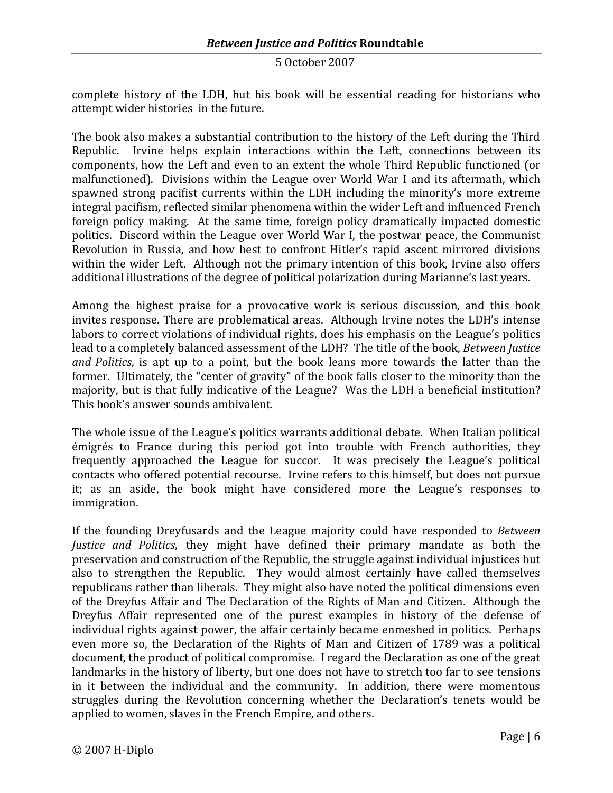complete history of the LDH, but his book will be essential reading for historians who attempt wider histories in the future.

The book also makes a substantial contribution to the history of the Left during the Third Republic. Irvine helps explain interactions within the Left, connections between its components, how the Left and even to an extent the whole Third Republic functioned (or malfunctioned). Divisions within the League over World War I and its aftermath, which spawned strong pacifist currents within the LDH including the minority's more extreme integral pacifism, reflected similar phenomena within the wider Left and influenced French foreign policy making. At the same time, foreign policy dramatically impacted domestic politics. Discord within the League over World War I, the postwar peace, the Communist Revolution in Russia, and how best to confront Hitler's rapid ascent mirrored divisions within the wider Left. Although not the primary intention of this book, Irvine also offers additional illustrations of the degree of political polarization during Marianne's last years.

Among the highest praise for a provocative work is serious discussion, and this book invites response. There are problematical areas. Although Irvine notes the LDH's intense labors to correct violations of individual rights, does his emphasis on the League's politics lead to a completely balanced assessment of the LDH? The title of the book, *Between Justice and Politics*, is apt up to a point, but the book leans more towards the latter than the former. Ultimately, the "center of gravity" of the book falls closer to the minority than the majority, but is that fully indicative of the League? Was the LDH a beneficial institution? This book's answer sounds ambivalent.

The whole issue of the League's politics warrants additional debate. When Italian political émigrés to France during this period got into trouble with French authorities, they frequently approached the League for succor. It was precisely the League's political contacts who offered potential recourse. Irvine refers to this himself, but does not pursue it; as an aside, the book might have considered more the League's responses to immigration.

If the founding Dreyfusards and the League majority could have responded to *Between Justice and Politics*, they might have defined their primary mandate as both the preservation and construction of the Republic, the struggle against individual injustices but also to strengthen the Republic. They would almost certainly have called themselves republicans rather than liberals. They might also have noted the political dimensions even of the Dreyfus Affair and The Declaration of the Rights of Man and Citizen. Although the Dreyfus Affair represented one of the purest examples in history of the defense of individual rights against power, the affair certainly became enmeshed in politics. Perhaps even more so, the Declaration of the Rights of Man and Citizen of 1789 was a political document, the product of political compromise. I regard the Declaration as one of the great landmarks in the history of liberty, but one does not have to stretch too far to see tensions in it between the individual and the community. In addition, there were momentous struggles during the Revolution concerning whether the Declaration's tenets would be applied to women, slaves in the French Empire, and others.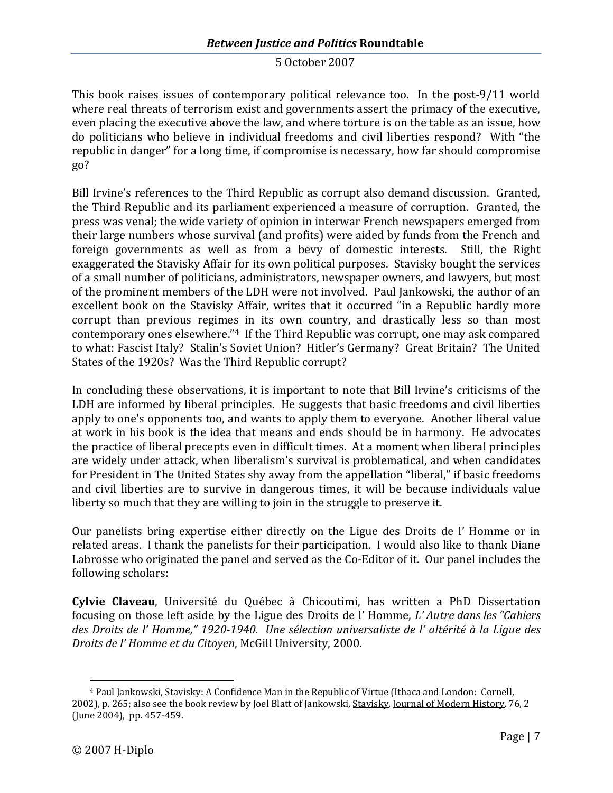This book raises issues of contemporary political relevance too. In the post-9/11 world where real threats of terrorism exist and governments assert the primacy of the executive, even placing the executive above the law, and where torture is on the table as an issue, how do politicians who believe in individual freedoms and civil liberties respond? With "the republic in danger" for a long time, if compromise is necessary, how far should compromise go?

Bill Irvine's references to the Third Republic as corrupt also demand discussion. Granted, the Third Republic and its parliament experienced a measure of corruption. Granted, the press was venal; the wide variety of opinion in interwar French newspapers emerged from their large numbers whose survival (and profits) were aided by funds from the French and foreign governments as well as from a bevy of domestic interests. Still, the Right exaggerated the Stavisky Affair for its own political purposes. Stavisky bought the services of a small number of politicians, administrators, newspaper owners, and lawyers, but most of the prominent members of the LDH were not involved. Paul Jankowski, the author of an excellent book on the Stavisky Affair, writes that it occurred "in a Republic hardly more corrupt than previous regimes in its own country, and drastically less so than most contemporary ones elsewhere." [4](#page-7-0) If the Third Republic was corrupt, one may ask compared to what: Fascist Italy? Stalin's Soviet Union? Hitler's Germany? Great Britain? The United States of the 1920s? Was the Third Republic corrupt?

In concluding these observations, it is important to note that Bill Irvine's criticisms of the LDH are informed by liberal principles. He suggests that basic freedoms and civil liberties apply to one's opponents too, and wants to apply them to everyone. Another liberal value at work in his book is the idea that means and ends should be in harmony. He advocates the practice of liberal precepts even in difficult times. At a moment when liberal principles are widely under attack, when liberalism's survival is problematical, and when candidates for President in The United States shy away from the appellation "liberal," if basic freedoms and civil liberties are to survive in dangerous times, it will be because individuals value liberty so much that they are willing to join in the struggle to preserve it.

Our panelists bring expertise either directly on the Ligue des Droits de l' Homme or in related areas. I thank the panelists for their participation. I would also like to thank Diane Labrosse who originated the panel and served as the Co-Editor of it. Our panel includes the following scholars:

**Cylvie Claveau**, Université du Québec à Chicoutimi, has written a PhD Dissertation focusing on those left aside by the Ligue des Droits de l' Homme, *L' Autre dans les "Cahiers des Droits de l' Homme," 1920-1940. Une sélection universaliste de l' altérité à la Ligue des Droits de l' Homme et du Citoyen*, McGill University, 2000.

<span id="page-7-0"></span><sup>4</sup> Paul Jankowski, Stavisky: A Confidence Man in the Republic of Virtue (Ithaca and London: Cornell, 2002), p. 265; also see the book review by Joel Blatt of Jankowski, Stavisky, Journal of Modern History*,* 76, 2 (June 2004), pp. 457-459.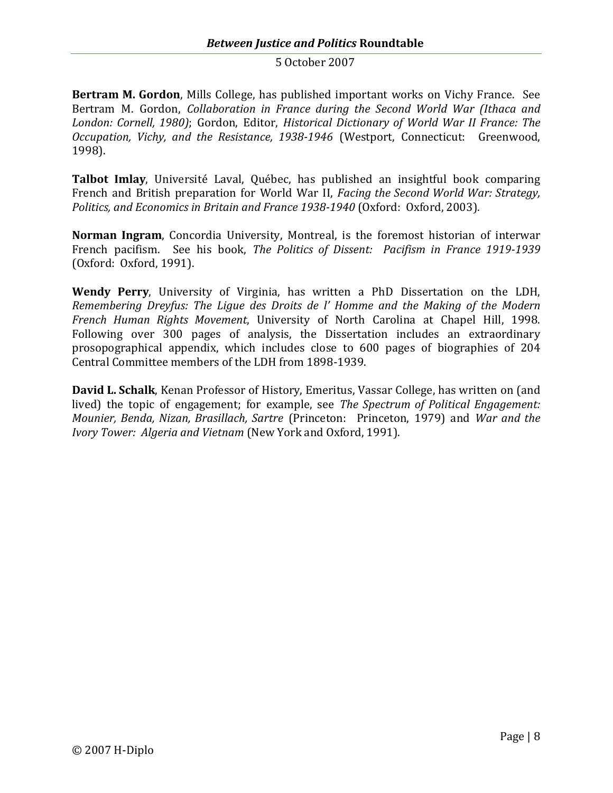**Bertram M. Gordon**, Mills College, has published important works on Vichy France. See Bertram M. Gordon, *Collaboration in France during the Second World War (Ithaca and London: Cornell, 1980)*; Gordon, Editor, *Historical Dictionary of World War II France: The Occupation, Vichy, and the Resistance, 1938-1946* (Westport, Connecticut: Greenwood, 1998).

**Talbot Imlay**, Université Laval, Québec, has published an insightful book comparing French and British preparation for World War II, *Facing the Second World War: Strategy, Politics, and Economics in Britain and France 1938-1940* (Oxford: Oxford, 2003).

**Norman Ingram**, Concordia University, Montreal, is the foremost historian of interwar French pacifism. See his book, *The Politics of Dissent: Pacifism in France 1919-1939* (Oxford: Oxford, 1991).

**Wendy Perry**, University of Virginia, has written a PhD Dissertation on the LDH, *Remembering Dreyfus: The Ligue des Droits de l' Homme and the Making of the Modern French Human Rights Movement*, University of North Carolina at Chapel Hill, 1998. Following over 300 pages of analysis, the Dissertation includes an extraordinary prosopographical appendix, which includes close to 600 pages of biographies of 204 Central Committee members of the LDH from 1898-1939.

**David L. Schalk**, Kenan Professor of History, Emeritus, Vassar College, has written on (and lived) the topic of engagement; for example, see *The Spectrum of Political Engagement: Mounier, Benda, Nizan, Brasillach, Sartre* (Princeton: Princeton, 1979) and *War and the Ivory Tower: Algeria and Vietnam* (New York and Oxford, 1991).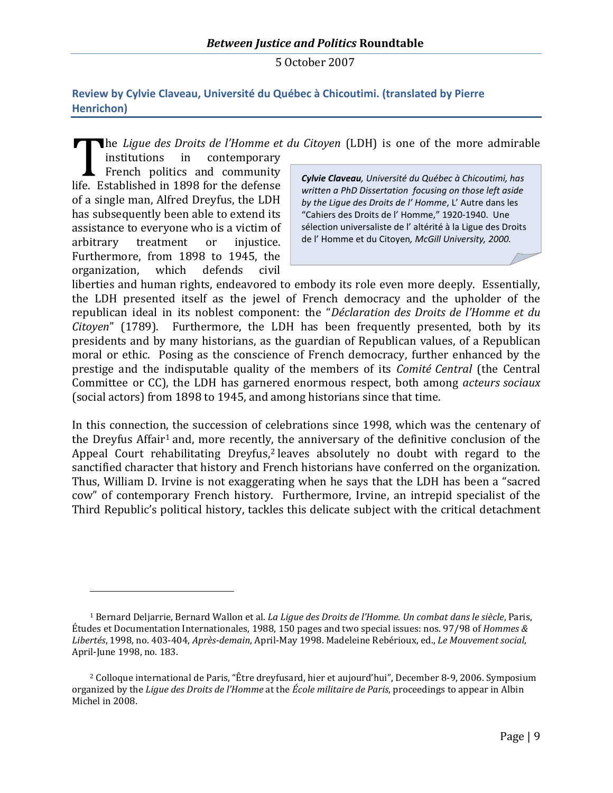<span id="page-9-0"></span>**Review by Cylvie Claveau, Université du Québec à Chicoutimi. (translated by Pierre Henrichon)**

he *Ligue des Droits de l'Homme et du Citoyen* (LDH) is one of the more admirable

institutions in contemporary French politics and community life. Established in 1898 for the defense of a single man, Alfred Dreyfus, the LDH has subsequently been able to extend its assistance to everyone who is a victim of arbitrary treatment or injustice. Furthermore, from 1898 to 1945, the organization, which defends civil

*Cylvie Claveau, Université du Québec à Chicoutimi, has written a PhD Dissertation focusing on those left aside by the Ligue des Droits de l' Homme*, L' Autre dans les "Cahiers des Droits de l' Homme," 1920-1940. Une sélection universaliste de l' altérité à la Ligue des Droits de l' Homme et du Citoyen*, McGill University, 2000.*

liberties and human rights, endeavored to embody its role even more deeply. Essentially, the LDH presented itself as the jewel of French democracy and the upholder of the republican ideal in its noblest component: the "*Déclaration des Droits de l'Homme et du Citoyen*" (1789). Furthermore, the LDH has been frequently presented, both by its presidents and by many historians, as the guardian of Republican values, of a Republican moral or ethic. Posing as the conscience of French democracy, further enhanced by the prestige and the indisputable quality of the members of its *Comité Central* (the Central Committee or CC), the LDH has garnered enormous respect, both among *acteurs sociaux* (social actors) from 1898 to 1945, and among historians since that time.

In this connection, the succession of celebrations since 1998, which was the centenary of the DreyfusAffair<sup>1</sup> and, more recently, the anniversary of the definitive conclusion of the AppealCourt rehabilitating Dreyfus,<sup>2</sup> leaves absolutely no doubt with regard to the sanctified character that history and French historians have conferred on the organization. Thus, William D. Irvine is not exaggerating when he says that the LDH has been a "sacred cow" of contemporary French history. Furthermore, Irvine, an intrepid specialist of the Third Republic's political history, tackles this delicate subject with the critical detachment

<span id="page-9-1"></span><sup>1</sup> Bernard Deljarrie, Bernard Wallon et al. *La Ligue des Droits de l'Homme. Un combat dans le siècle*, Paris, Études et Documentation Internationales, 1988, 150 pages and two special issues: nos. 97/98 of *Hommes & Libertés*, 1998, no. 403-404, *Après-demain*, April-May 1998. Madeleine Rebérioux, ed., *Le Mouvement social*, April-June 1998, no. 183.

<span id="page-9-2"></span><sup>2</sup> Colloque international de Paris, "Être dreyfusard, hier et aujourd'hui", December 8-9, 2006. Symposium organized by the *Ligue des Droits de l'Homme* at the *École militaire de Paris*, proceedings to appear in Albin Michel in 2008.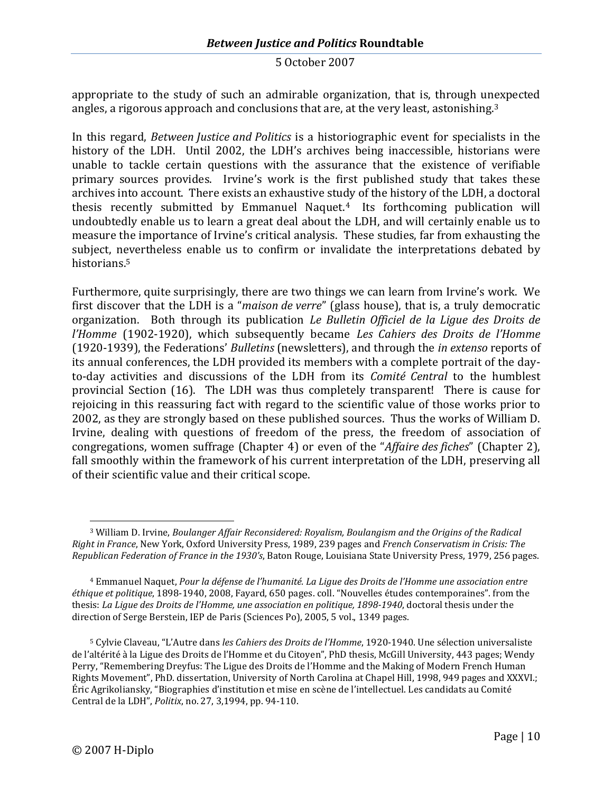appropriate to the study of such an admirable organization, that is, through unexpected angles, a rigorous approach and conclusions that are, at the very least, astonishing.<sup>[3](#page-10-0)</sup>

In this regard, *Between Justice and Politics* is a historiographic event for specialists in the history of the LDH. Until 2002, the LDH's archives being inaccessible, historians were unable to tackle certain questions with the assurance that the existence of verifiable primary sources provides. Irvine's work is the first published study that takes these archives into account. There exists an exhaustive study of the history of the LDH, a doctoral thesis recently submitted by EmmanuelNaquet. <sup>4</sup> Its forthcoming publication will undoubtedly enable us to learn a great deal about the LDH, and will certainly enable us to measure the importance of Irvine's critical analysis. These studies, far from exhausting the subject, nevertheless enable us to confirm or invalidate the interpretations debated by historians. [5](#page-10-2)

Furthermore, quite surprisingly, there are two things we can learn from Irvine's work. We first discover that the LDH is a "*maison de verre*" (glass house), that is, a truly democratic organization. Both through its publication *Le Bulletin Officiel de la Ligue des Droits de l'Homme* (1902-1920), which subsequently became *Les Cahiers des Droits de l'Homme* (1920-1939), the Federations' *Bulletins* (newsletters), and through the *in extenso* reports of its annual conferences, the LDH provided its members with a complete portrait of the dayto-day activities and discussions of the LDH from its *Comité Central* to the humblest provincial Section (16). The LDH was thus completely transparent! There is cause for rejoicing in this reassuring fact with regard to the scientific value of those works prior to 2002, as they are strongly based on these published sources. Thus the works of William D. Irvine, dealing with questions of freedom of the press, the freedom of association of congregations, women suffrage (Chapter 4) or even of the "*Affaire des fiches*" (Chapter 2), fall smoothly within the framework of his current interpretation of the LDH, preserving all of their scientific value and their critical scope.

<span id="page-10-0"></span><sup>3</sup> William D. Irvine, *Boulanger Affair Reconsidered: Royalism, Boulangism and the Origins of the Radical Right in France*, New York, Oxford University Press, 1989, 239 pages and *French Conservatism in Crisis: The Republican Federation of France in the 1930's*, Baton Rouge, Louisiana State University Press, 1979, 256 pages.

<span id="page-10-1"></span><sup>4</sup> Emmanuel Naquet, *Pour la défense de l'humanité. La Ligue des Droits de l'Homme une association entre éthique et politique*, 1898-1940, 2008, Fayard, 650 pages. coll. "Nouvelles études contemporaines". from the thesis: *La Ligue des Droits de l'Homme, une association en politique, 1898-1940*, doctoral thesis under the direction of Serge Berstein, IEP de Paris (Sciences Po), 2005, 5 vol., 1349 pages.

<span id="page-10-2"></span><sup>5</sup> Cylvie Claveau, "L'Autre dans *les Cahiers des Droits de l'Homme*, 1920-1940. Une sélection universaliste de l'altérité à la Ligue des Droits de l'Homme et du Citoyen", PhD thesis, McGill University, 443 pages; Wendy Perry, "Remembering Dreyfus: The Ligue des Droits de l'Homme and the Making of Modern French Human Rights Movement", PhD. dissertation, University of North Carolina at Chapel Hill, 1998, 949 pages and XXXVI.; Éric Agrikoliansky, "Biographies d'institution et mise en scène de l'intellectuel. Les candidats au Comité Central de la LDH", *Politix*, no. 27, 3,1994, pp. 94-110.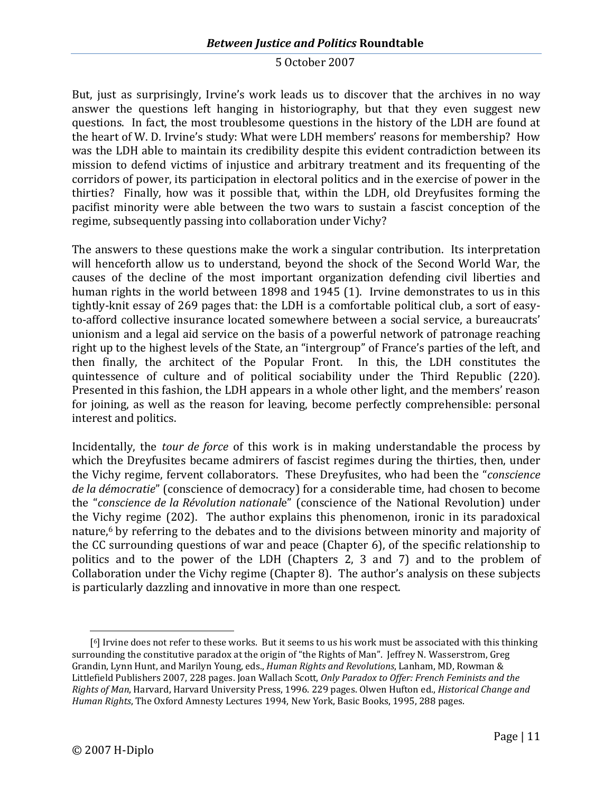But, just as surprisingly, Irvine's work leads us to discover that the archives in no way answer the questions left hanging in historiography, but that they even suggest new questions. In fact, the most troublesome questions in the history of the LDH are found at the heart of W. D. Irvine's study: What were LDH members' reasons for membership? How was the LDH able to maintain its credibility despite this evident contradiction between its mission to defend victims of injustice and arbitrary treatment and its frequenting of the corridors of power, its participation in electoral politics and in the exercise of power in the thirties? Finally, how was it possible that, within the LDH, old Dreyfusites forming the pacifist minority were able between the two wars to sustain a fascist conception of the regime, subsequently passing into collaboration under Vichy?

The answers to these questions make the work a singular contribution. Its interpretation will henceforth allow us to understand, beyond the shock of the Second World War, the causes of the decline of the most important organization defending civil liberties and human rights in the world between 1898 and 1945 (1). Irvine demonstrates to us in this tightly-knit essay of 269 pages that: the LDH is a comfortable political club, a sort of easyto-afford collective insurance located somewhere between a social service, a bureaucrats' unionism and a legal aid service on the basis of a powerful network of patronage reaching right up to the highest levels of the State, an "intergroup" of France's parties of the left, and then finally, the architect of the Popular Front. In this, the LDH constitutes the quintessence of culture and of political sociability under the Third Republic (220). Presented in this fashion, the LDH appears in a whole other light, and the members' reason for joining, as well as the reason for leaving, become perfectly comprehensible: personal interest and politics.

Incidentally, the *tour de force* of this work is in making understandable the process by which the Dreyfusites became admirers of fascist regimes during the thirties, then, under the Vichy regime, fervent collaborators. These Dreyfusites, who had been the "*conscience de la démocratie*" (conscience of democracy) for a considerable time, had chosen to become the "*conscience de la Révolution national*e" (conscience of the National Revolution) under the Vichy regime (202). The author explains this phenomenon, ironic in its paradoxical nature, [6](#page-11-0) by referring to the debates and to the divisions between minority and majority of the CC surrounding questions of war and peace (Chapter 6), of the specific relationship to politics and to the power of the LDH (Chapters 2, 3 and 7) and to the problem of Collaboration under the Vichy regime (Chapter 8). The author's analysis on these subjects is particularly dazzling and innovative in more than one respect.

<span id="page-11-0"></span><sup>[</sup> <sup>6</sup>] Irvine does not refer to these works. But it seems to us his work must be associated with this thinking surrounding the constitutive paradox at the origin of "the Rights of Man". Jeffrey N. Wasserstrom, Greg Grandin, Lynn Hunt, and Marilyn Young, eds., *Human Rights and Revolutions*, Lanham, MD, Rowman & Littlefield Publishers 2007, 228 pages. Joan Wallach Scott, *Only Paradox to Offer: French Feminists and the Rights of Man*, Harvard, Harvard University Press, 1996. 229 pages. Olwen Hufton ed., *Historical Change and Human Rights*, The Oxford Amnesty Lectures 1994, New York, Basic Books, 1995, 288 pages.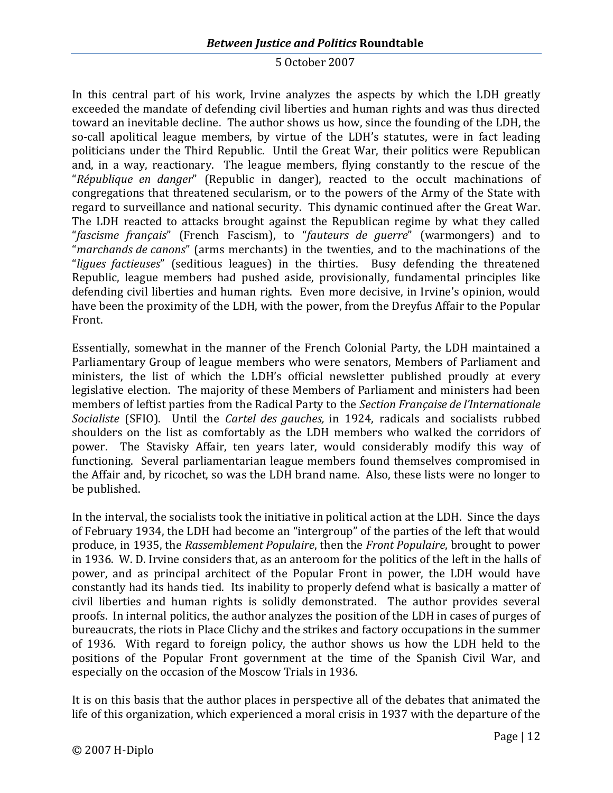# *Between Justice and Politics* **Roundtable**

#### 5 October 2007

In this central part of his work, Irvine analyzes the aspects by which the LDH greatly exceeded the mandate of defending civil liberties and human rights and was thus directed toward an inevitable decline. The author shows us how, since the founding of the LDH, the so-call apolitical league members, by virtue of the LDH's statutes, were in fact leading politicians under the Third Republic. Until the Great War, their politics were Republican and, in a way, reactionary. The league members, flying constantly to the rescue of the "*République en danger*" (Republic in danger), reacted to the occult machinations of congregations that threatened secularism, or to the powers of the Army of the State with regard to surveillance and national security. This dynamic continued after the Great War. The LDH reacted to attacks brought against the Republican regime by what they called "*fascisme français*" (French Fascism), to "*fauteurs de guerre*" (warmongers) and to "*marchands de canons*" (arms merchants) in the twenties, and to the machinations of the "*ligues factieuses*" (seditious leagues) in the thirties. Busy defending the threatened Republic, league members had pushed aside, provisionally, fundamental principles like defending civil liberties and human rights. Even more decisive, in Irvine's opinion, would have been the proximity of the LDH, with the power, from the Dreyfus Affair to the Popular Front.

Essentially, somewhat in the manner of the French Colonial Party, the LDH maintained a Parliamentary Group of league members who were senators, Members of Parliament and ministers, the list of which the LDH's official newsletter published proudly at every legislative election. The majority of these Members of Parliament and ministers had been members of leftist parties from the Radical Party to the *Section Française de l'Internationale Socialiste* (SFIO). Until the *Cartel des gauches,* in 1924, radicals and socialists rubbed shoulders on the list as comfortably as the LDH members who walked the corridors of power. The Stavisky Affair, ten years later, would considerably modify this way of functioning. Several parliamentarian league members found themselves compromised in the Affair and, by ricochet, so was the LDH brand name. Also, these lists were no longer to be published.

In the interval, the socialists took the initiative in political action at the LDH. Since the days of February 1934, the LDH had become an "intergroup" of the parties of the left that would produce, in 1935, the *Rassemblement Populaire*, then the *Front Populaire*, brought to power in 1936. W. D. Irvine considers that, as an anteroom for the politics of the left in the halls of power, and as principal architect of the Popular Front in power, the LDH would have constantly had its hands tied. Its inability to properly defend what is basically a matter of civil liberties and human rights is solidly demonstrated. The author provides several proofs. In internal politics, the author analyzes the position of the LDH in cases of purges of bureaucrats, the riots in Place Clichy and the strikes and factory occupations in the summer of 1936. With regard to foreign policy, the author shows us how the LDH held to the positions of the Popular Front government at the time of the Spanish Civil War, and especially on the occasion of the Moscow Trials in 1936.

It is on this basis that the author places in perspective all of the debates that animated the life of this organization, which experienced a moral crisis in 1937 with the departure of the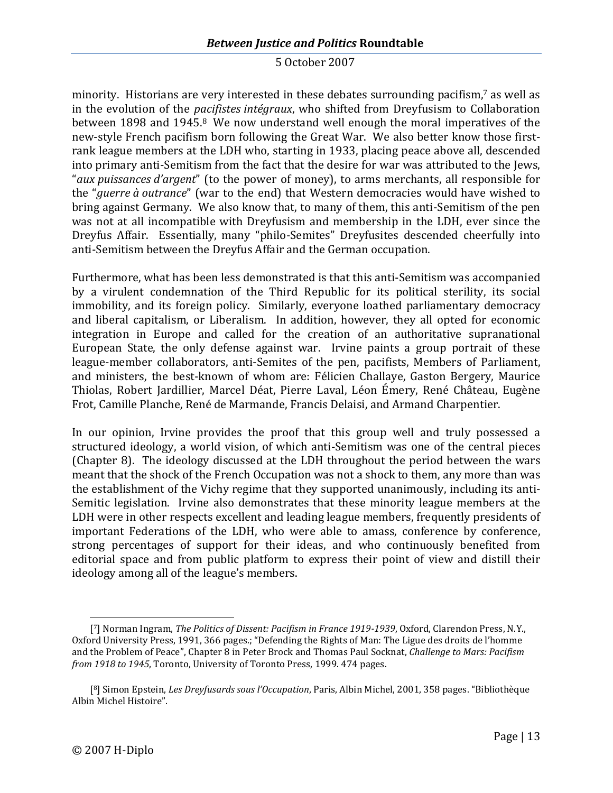minority. Historians are very interested in these debates surroundingpacifism[,](#page-13-0) <sup>7</sup> as well as in the evolution of the *pacifistes intégraux*, who shifted from Dreyfusism to Collaboration between 1898and1945[.](#page-13-1) <sup>8</sup> We now understand well enough the moral imperatives of the new-style French pacifism born following the Great War. We also better know those firstrank league members at the LDH who, starting in 1933, placing peace above all, descended into primary anti-Semitism from the fact that the desire for war was attributed to the Jews, "*aux puissances d'argent*" (to the power of money), to arms merchants, all responsible for the "*guerre à outrance*" (war to the end) that Western democracies would have wished to bring against Germany. We also know that, to many of them, this anti-Semitism of the pen was not at all incompatible with Dreyfusism and membership in the LDH, ever since the Dreyfus Affair. Essentially, many "philo-Semites" Dreyfusites descended cheerfully into anti-Semitism between the Dreyfus Affair and the German occupation.

Furthermore, what has been less demonstrated is that this anti-Semitism was accompanied by a virulent condemnation of the Third Republic for its political sterility, its social immobility, and its foreign policy. Similarly, everyone loathed parliamentary democracy and liberal capitalism, or Liberalism. In addition, however, they all opted for economic integration in Europe and called for the creation of an authoritative supranational European State, the only defense against war. Irvine paints a group portrait of these league-member collaborators, anti-Semites of the pen, pacifists, Members of Parliament, and ministers, the best-known of whom are: Félicien Challaye, Gaston Bergery, Maurice Thiolas, Robert Jardillier, Marcel Déat, Pierre Laval, Léon Émery, René Château, Eugène Frot, Camille Planche, René de Marmande, Francis Delaisi, and Armand Charpentier.

In our opinion, Irvine provides the proof that this group well and truly possessed a structured ideology, a world vision, of which anti-Semitism was one of the central pieces (Chapter 8). The ideology discussed at the LDH throughout the period between the wars meant that the shock of the French Occupation was not a shock to them, any more than was the establishment of the Vichy regime that they supported unanimously, including its anti-Semitic legislation. Irvine also demonstrates that these minority league members at the LDH were in other respects excellent and leading league members, frequently presidents of important Federations of the LDH, who were able to amass, conference by conference, strong percentages of support for their ideas, and who continuously benefited from editorial space and from public platform to express their point of view and distill their ideology among all of the league's members.

<span id="page-13-0"></span><sup>[</sup> <sup>7</sup>] Norman Ingram, *The Politics of Dissent: Pacifism in France 1919-1939*, Oxford, Clarendon Press, N.Y., Oxford University Press, 1991, 366 pages.; "Defending the Rights of Man: The Ligue des droits de l'homme and the Problem of Peace", Chapter 8 in Peter Brock and Thomas Paul Socknat, *Challenge to Mars: Pacifism from 1918 to 1945*, Toronto, University of Toronto Press, 1999. 474 pages.

<span id="page-13-1"></span><sup>[</sup> <sup>8</sup>] Simon Epstein, *Les Dreyfusards sous l'Occupation*, Paris, Albin Michel, 2001, 358 pages. "Bibliothèque Albin Michel Histoire".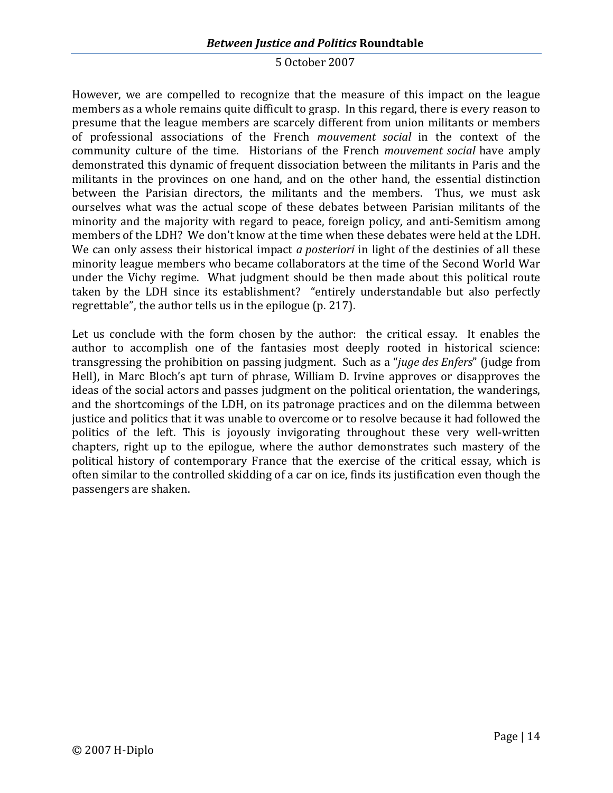# *Between Justice and Politics* **Roundtable**

#### 5 October 2007

However, we are compelled to recognize that the measure of this impact on the league members as a whole remains quite difficult to grasp. In this regard, there is every reason to presume that the league members are scarcely different from union militants or members of professional associations of the French *mouvement social* in the context of the community culture of the time. Historians of the French *mouvement social* have amply demonstrated this dynamic of frequent dissociation between the militants in Paris and the militants in the provinces on one hand, and on the other hand, the essential distinction between the Parisian directors, the militants and the members. Thus, we must ask ourselves what was the actual scope of these debates between Parisian militants of the minority and the majority with regard to peace, foreign policy, and anti-Semitism among members of the LDH? We don't know at the time when these debates were held at the LDH. We can only assess their historical impact *a posteriori* in light of the destinies of all these minority league members who became collaborators at the time of the Second World War under the Vichy regime. What judgment should be then made about this political route taken by the LDH since its establishment? "entirely understandable but also perfectly regrettable", the author tells us in the epilogue (p. 217).

Let us conclude with the form chosen by the author: the critical essay. It enables the author to accomplish one of the fantasies most deeply rooted in historical science: transgressing the prohibition on passing judgment. Such as a "*juge des Enfers*" (judge from Hell), in Marc Bloch's apt turn of phrase, William D. Irvine approves or disapproves the ideas of the social actors and passes judgment on the political orientation, the wanderings, and the shortcomings of the LDH, on its patronage practices and on the dilemma between justice and politics that it was unable to overcome or to resolve because it had followed the politics of the left. This is joyously invigorating throughout these very well-written chapters, right up to the epilogue, where the author demonstrates such mastery of the political history of contemporary France that the exercise of the critical essay, which is often similar to the controlled skidding of a car on ice, finds its justification even though the passengers are shaken.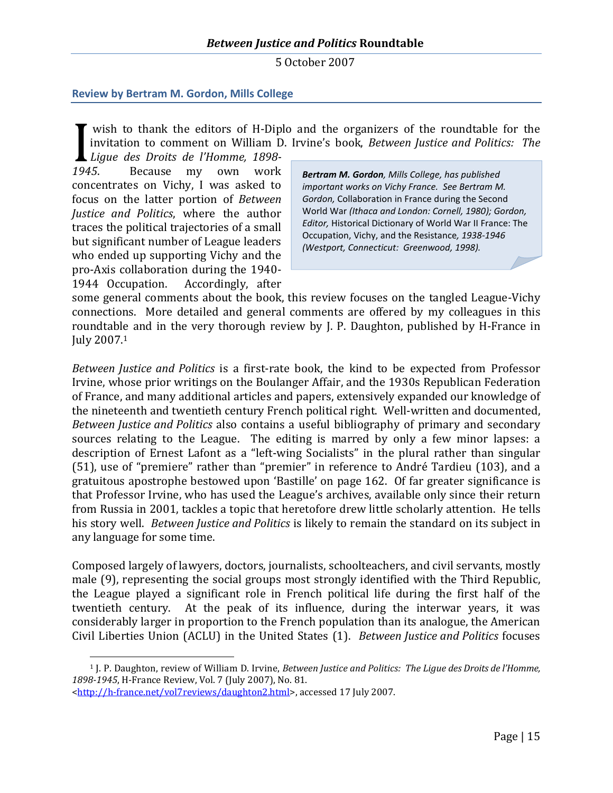## <span id="page-15-0"></span>**Review by Bertram M. Gordon, Mills College**

wish to thank the editors of H-Diplo and the organizers of the roundtable for the invitation to comment on William D. Irvine's book, *Between Justice and Politics: The*

*Ligue des Droits de l'Homme, 1898- 1945*. Because my own work concentrates on Vichy, I was asked to focus on the latter portion of *Between Justice and Politics*, where the author traces the political trajectories of a small but significant number of League leaders who ended up supporting Vichy and the pro-Axis collaboration during the 1940- 1944 Occupation. Accordingly, after

*Bertram M. Gordon, Mills College, has published important works on Vichy France. See Bertram M. Gordon,* Collaboration in France during the Second World War *(Ithaca and London: Cornell, 1980); Gordon, Editor,* Historical Dictionary of World War II France: The Occupation, Vichy, and the Resistance*, 1938-1946 (Westport, Connecticut: Greenwood, 1998).*

some general comments about the book, this review focuses on the tangled League-Vichy connections. More detailed and general comments are offered by my colleagues in this roundtable and in the very thorough review by J. P. Daughton, published by H-France in July2007[.](#page-15-1) 1

*Between Justice and Politics* is a first-rate book, the kind to be expected from Professor Irvine, whose prior writings on the Boulanger Affair, and the 1930s Republican Federation of France, and many additional articles and papers, extensively expanded our knowledge of the nineteenth and twentieth century French political right. Well-written and documented, *Between Justice and Politics* also contains a useful bibliography of primary and secondary sources relating to the League. The editing is marred by only a few minor lapses: a description of Ernest Lafont as a "left-wing Socialists" in the plural rather than singular (51), use of "premiere" rather than "premier" in reference to André Tardieu (103), and a gratuitous apostrophe bestowed upon 'Bastille' on page 162. Of far greater significance is that Professor Irvine, who has used the League's archives, available only since their return from Russia in 2001, tackles a topic that heretofore drew little scholarly attention. He tells his story well. *Between Justice and Politics* is likely to remain the standard on its subject in any language for some time.

Composed largely of lawyers, doctors, journalists, schoolteachers, and civil servants, mostly male (9), representing the social groups most strongly identified with the Third Republic, the League played a significant role in French political life during the first half of the twentieth century. At the peak of its influence, during the interwar years, it was considerably larger in proportion to the French population than its analogue, the American Civil Liberties Union (ACLU) in the United States (1). *Between Justice and Politics* focuses

<span id="page-15-1"></span><sup>1</sup> J. P. Daughton, review of William D. Irvine, *Between Justice and Politics: The Ligue des Droits de l'Homme, 1898-1945*, H-France Review, Vol. 7 (July 2007), No. 81.

<sup>&</sup>lt;http://h-france.net/vol7reviews/daughton2.html>, accessed 17 July 2007.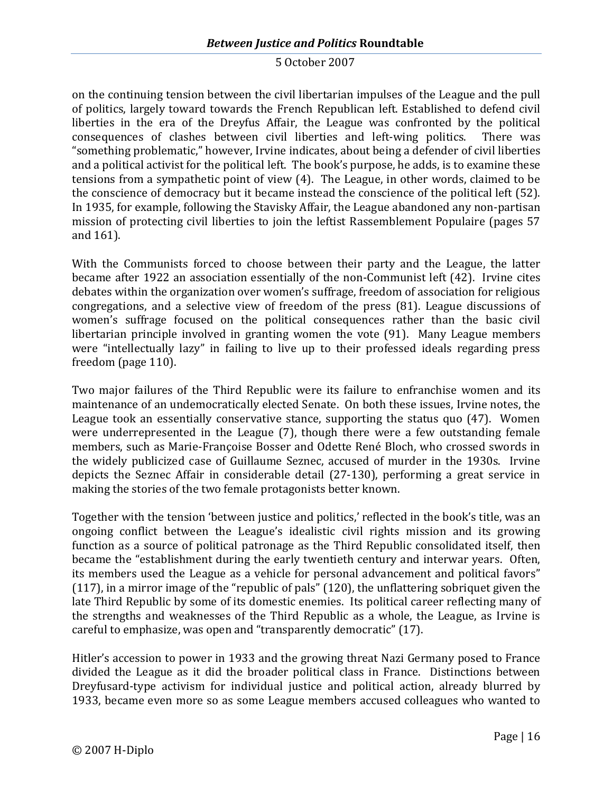on the continuing tension between the civil libertarian impulses of the League and the pull of politics, largely toward towards the French Republican left. Established to defend civil liberties in the era of the Dreyfus Affair, the League was confronted by the political consequences of clashes between civil liberties and left-wing politics. There was "something problematic," however, Irvine indicates, about being a defender of civil liberties and a political activist for the political left. The book's purpose, he adds, is to examine these tensions from a sympathetic point of view (4). The League, in other words, claimed to be the conscience of democracy but it became instead the conscience of the political left (52). In 1935, for example, following the Stavisky Affair, the League abandoned any non-partisan mission of protecting civil liberties to join the leftist Rassemblement Populaire (pages 57 and 161).

With the Communists forced to choose between their party and the League, the latter became after 1922 an association essentially of the non-Communist left (42). Irvine cites debates within the organization over women's suffrage, freedom of association for religious congregations, and a selective view of freedom of the press (81). League discussions of women's suffrage focused on the political consequences rather than the basic civil libertarian principle involved in granting women the vote (91). Many League members were "intellectually lazy" in failing to live up to their professed ideals regarding press freedom (page 110).

Two major failures of the Third Republic were its failure to enfranchise women and its maintenance of an undemocratically elected Senate. On both these issues, Irvine notes, the League took an essentially conservative stance, supporting the status quo (47). Women were underrepresented in the League (7), though there were a few outstanding female members, such as Marie-Françoise Bosser and Odette René Bloch, who crossed swords in the widely publicized case of Guillaume Seznec, accused of murder in the 1930s. Irvine depicts the Seznec Affair in considerable detail (27-130), performing a great service in making the stories of the two female protagonists better known.

Together with the tension 'between justice and politics,' reflected in the book's title, was an ongoing conflict between the League's idealistic civil rights mission and its growing function as a source of political patronage as the Third Republic consolidated itself, then became the "establishment during the early twentieth century and interwar years. Often, its members used the League as a vehicle for personal advancement and political favors" (117), in a mirror image of the "republic of pals" (120), the unflattering sobriquet given the late Third Republic by some of its domestic enemies. Its political career reflecting many of the strengths and weaknesses of the Third Republic as a whole, the League, as Irvine is careful to emphasize, was open and "transparently democratic" (17).

Hitler's accession to power in 1933 and the growing threat Nazi Germany posed to France divided the League as it did the broader political class in France. Distinctions between Dreyfusard-type activism for individual justice and political action, already blurred by 1933, became even more so as some League members accused colleagues who wanted to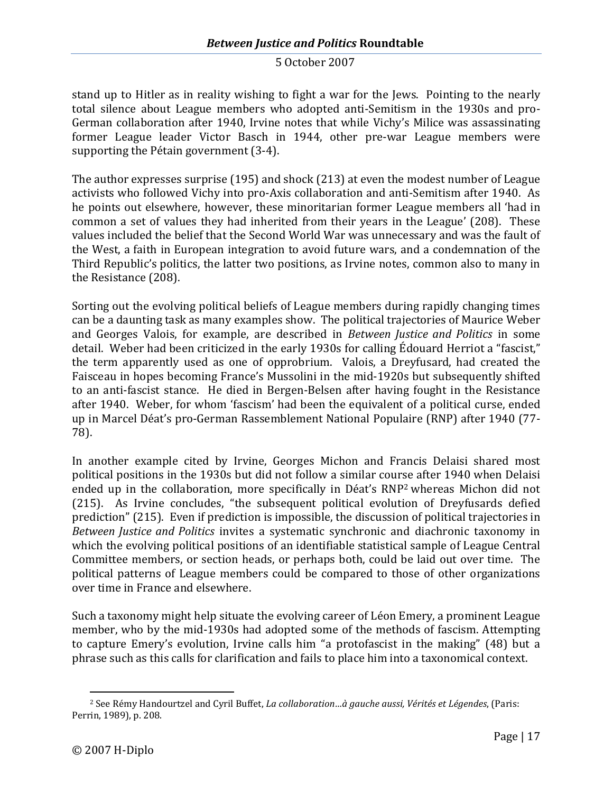stand up to Hitler as in reality wishing to fight a war for the Jews. Pointing to the nearly total silence about League members who adopted anti-Semitism in the 1930s and pro-German collaboration after 1940, Irvine notes that while Vichy's Milice was assassinating former League leader Victor Basch in 1944, other pre-war League members were supporting the Pétain government (3-4).

The author expresses surprise (195) and shock (213) at even the modest number of League activists who followed Vichy into pro-Axis collaboration and anti-Semitism after 1940. As he points out elsewhere, however, these minoritarian former League members all 'had in common a set of values they had inherited from their years in the League' (208). These values included the belief that the Second World War was unnecessary and was the fault of the West, a faith in European integration to avoid future wars, and a condemnation of the Third Republic's politics, the latter two positions, as Irvine notes, common also to many in the Resistance (208).

Sorting out the evolving political beliefs of League members during rapidly changing times can be a daunting task as many examples show. The political trajectories of Maurice Weber and Georges Valois, for example, are described in *Between Justice and Politics* in some detail. Weber had been criticized in the early 1930s for calling Édouard Herriot a "fascist," the term apparently used as one of opprobrium. Valois, a Dreyfusard, had created the Faisceau in hopes becoming France's Mussolini in the mid-1920s but subsequently shifted to an anti-fascist stance. He died in Bergen-Belsen after having fought in the Resistance after 1940. Weber, for whom 'fascism' had been the equivalent of a political curse, ended up in Marcel Déat's pro-German Rassemblement National Populaire (RNP) after 1940 (77- 78).

In another example cited by Irvine, Georges Michon and Francis Delaisi shared most political positions in the 1930s but did not follow a similar course after 1940 when Delaisi ended up in the collaboration, more specifically in Déat'sRNP<sup>2</sup> whereas Michon did not (215). As Irvine concludes, "the subsequent political evolution of Dreyfusards defied prediction" (215). Even if prediction is impossible, the discussion of political trajectories in *Between Justice and Politics* invites a systematic synchronic and diachronic taxonomy in which the evolving political positions of an identifiable statistical sample of League Central Committee members, or section heads, or perhaps both, could be laid out over time. The political patterns of League members could be compared to those of other organizations over time in France and elsewhere.

Such a taxonomy might help situate the evolving career of Léon Emery, a prominent League member, who by the mid-1930s had adopted some of the methods of fascism. Attempting to capture Emery's evolution, Irvine calls him "a protofascist in the making" (48) but a phrase such as this calls for clarification and fails to place him into a taxonomical context.

<span id="page-17-0"></span><sup>2</sup> See Rémy Handourtzel and Cyril Buffet, *La collaboration…à gauche aussi, Vérités et Légendes*, (Paris: Perrin, 1989), p. 208.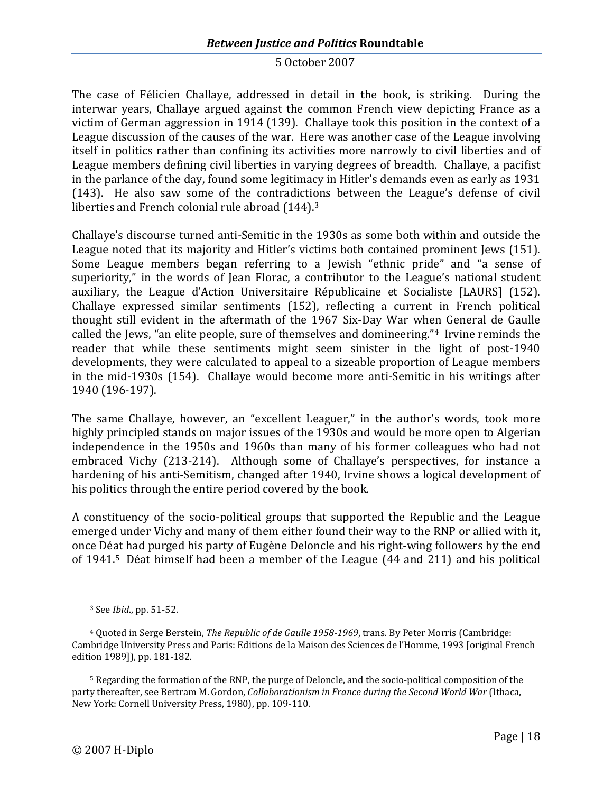The case of Félicien Challaye, addressed in detail in the book, is striking. During the interwar years, Challaye argued against the common French view depicting France as a victim of German aggression in 1914 (139). Challaye took this position in the context of a League discussion of the causes of the war. Here was another case of the League involving itself in politics rather than confining its activities more narrowly to civil liberties and of League members defining civil liberties in varying degrees of breadth. Challaye, a pacifist in the parlance of the day, found some legitimacy in Hitler's demands even as early as 1931 (143). He also saw some of the contradictions between the League's defense of civil liberties and French colonial rule abroad(144)[.](#page-18-0)<sup>3</sup>

Challaye's discourse turned anti-Semitic in the 1930s as some both within and outside the League noted that its majority and Hitler's victims both contained prominent Jews (151). Some League members began referring to a Jewish "ethnic pride" and "a sense of superiority," in the words of Jean Florac, a contributor to the League's national student auxiliary, the League d'Action Universitaire Républicaine et Socialiste [LAURS] (152). Challaye expressed similar sentiments (152), reflecting a current in French political thought still evident in the aftermath of the 1967 Six-Day War when General de Gaulle called the Jews, "an elite people, sure of themselves and domineering." [4](#page-18-1) Irvine reminds the reader that while these sentiments might seem sinister in the light of post-1940 developments, they were calculated to appeal to a sizeable proportion of League members in the mid-1930s (154). Challaye would become more anti-Semitic in his writings after 1940 (196-197).

The same Challaye, however, an "excellent Leaguer," in the author's words, took more highly principled stands on major issues of the 1930s and would be more open to Algerian independence in the 1950s and 1960s than many of his former colleagues who had not embraced Vichy (213-214). Although some of Challaye's perspectives, for instance a hardening of his anti-Semitism, changed after 1940, Irvine shows a logical development of his politics through the entire period covered by the book.

A constituency of the socio-political groups that supported the Republic and the League emerged under Vichy and many of them either found their way to the RNP or allied with it, once Déat had purged his party of Eugène Deloncle and his right-wing followers by the end of1941.<sup>5</sup> Déat himself had been a member of the League (44 and 211) and his political

<span id="page-18-1"></span><span id="page-18-0"></span><sup>3</sup> See *Ibid*., pp. 51-52.

<sup>4</sup> Quoted in Serge Berstein, *The Republic of de Gaulle 1958-1969*, trans. By Peter Morris (Cambridge: Cambridge University Press and Paris: Editions de la Maison des Sciences de l'Homme, 1993 [original French edition 1989]), pp. 181-182.

<span id="page-18-2"></span><sup>5</sup> Regarding the formation of the RNP, the purge of Deloncle, and the socio-political composition of the party thereafter, see Bertram M. Gordon, *Collaborationism in France during the Second World War* (Ithaca, New York: Cornell University Press, 1980), pp. 109-110.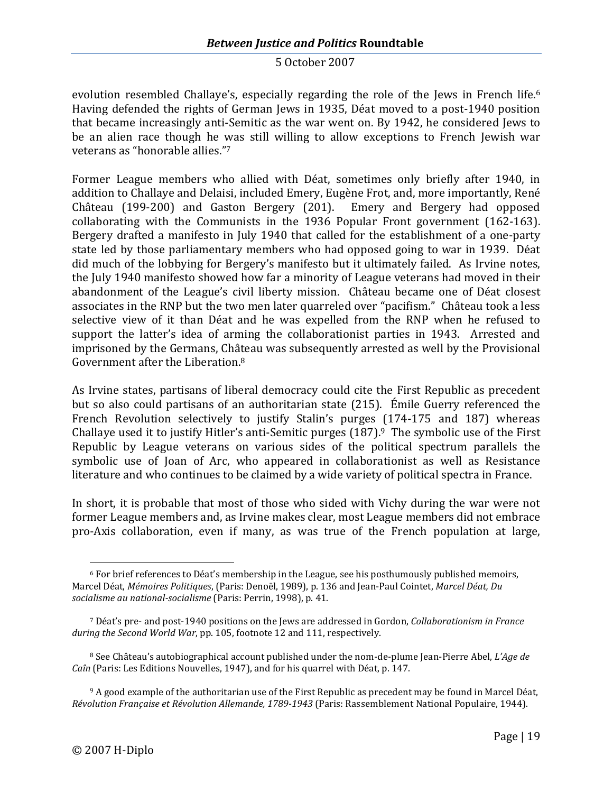evolutionresembled Challaye's, especially regarding the role of the Jews in French life.<sup>6</sup> Having defended the rights of German Jews in 1935, Déat moved to a post-1940 position that became increasingly anti-Semitic as the war went on. By 1942, he considered Jews to be an alien race though he was still willing to allow exceptions to French Jewish war veterans as "honorableallies.["](#page-19-1) 7

Former League members who allied with Déat, sometimes only briefly after 1940, in addition to Challaye and Delaisi, included Emery, Eugène Frot, and, more importantly, René Château (199-200) and Gaston Bergery (201). Emery and Bergery had opposed collaborating with the Communists in the 1936 Popular Front government (162-163). Bergery drafted a manifesto in July 1940 that called for the establishment of a one-party state led by those parliamentary members who had opposed going to war in 1939. Déat did much of the lobbying for Bergery's manifesto but it ultimately failed. As Irvine notes, the July 1940 manifesto showed how far a minority of League veterans had moved in their abandonment of the League's civil liberty mission. Château became one of Déat closest associates in the RNP but the two men later quarreled over "pacifism." Château took a less selective view of it than Déat and he was expelled from the RNP when he refused to support the latter's idea of arming the collaborationist parties in 1943. Arrested and imprisoned by the Germans, Château was subsequently arrested as well by the Provisional Government after the Liberation.[8](#page-19-2)

As Irvine states, partisans of liberal democracy could cite the First Republic as precedent but so also could partisans of an authoritarian state (215). Émile Guerry referenced the French Revolution selectively to justify Stalin's purges (174-175 and 187) whereas Challayeused it to justify Hitler's anti-Semitic purges  $(187)$ .<sup>9</sup> The symbolic use of the First Republic by League veterans on various sides of the political spectrum parallels the symbolic use of Joan of Arc, who appeared in collaborationist as well as Resistance literature and who continues to be claimed by a wide variety of political spectra in France.

In short, it is probable that most of those who sided with Vichy during the war were not former League members and, as Irvine makes clear, most League members did not embrace pro-Axis collaboration, even if many, as was true of the French population at large,

<span id="page-19-0"></span> $6$  For brief references to Déat's membership in the League, see his posthumously published memoirs, Marcel Déat, *Mémoires Politiques*, (Paris: Denoël, 1989), p. 136 and Jean-Paul Cointet, *Marcel Déat, Du socialisme au national-socialisme* (Paris: Perrin, 1998), p. 41.

<span id="page-19-1"></span><sup>7</sup> Déat's pre- and post-1940 positions on the Jews are addressed in Gordon, *Collaborationism in France during the Second World War*, pp. 105, footnote 12 and 111, respectively.

<span id="page-19-2"></span><sup>8</sup> See Château's autobiographical account published under the nom-de-plume Jean-Pierre Abel, *L'Age de Caîn* (Paris: Les Editions Nouvelles, 1947), and for his quarrel with Déat, p. 147.

<span id="page-19-3"></span><sup>&</sup>lt;sup>9</sup> A good example of the authoritarian use of the First Republic as precedent may be found in Marcel Déat, *Révolution Française et Révolution Allemande, 1789-1943* (Paris: Rassemblement National Populaire, 1944).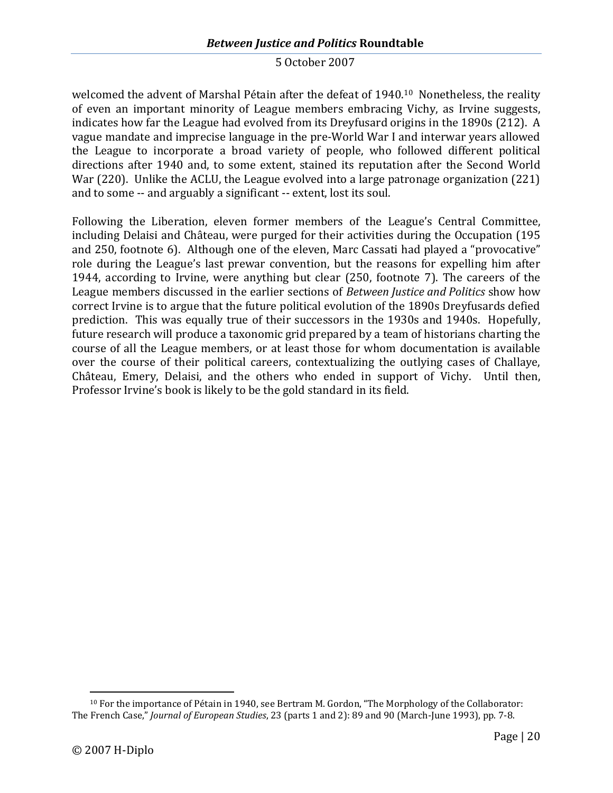welcomed the advent of Marshal Pétain after the defeatof1940.<sup>10</sup> Nonetheless, the reality of even an important minority of League members embracing Vichy, as Irvine suggests, indicates how far the League had evolved from its Dreyfusard origins in the 1890s (212). A vague mandate and imprecise language in the pre-World War I and interwar years allowed the League to incorporate a broad variety of people, who followed different political directions after 1940 and, to some extent, stained its reputation after the Second World War (220). Unlike the ACLU, the League evolved into a large patronage organization (221) and to some -- and arguably a significant -- extent, lost its soul.

Following the Liberation, eleven former members of the League's Central Committee, including Delaisi and Château, were purged for their activities during the Occupation (195 and 250, footnote 6). Although one of the eleven, Marc Cassati had played a "provocative" role during the League's last prewar convention, but the reasons for expelling him after 1944, according to Irvine, were anything but clear (250, footnote 7). The careers of the League members discussed in the earlier sections of *Between Justice and Politics* show how correct Irvine is to argue that the future political evolution of the 1890s Dreyfusards defied prediction. This was equally true of their successors in the 1930s and 1940s. Hopefully, future research will produce a taxonomic grid prepared by a team of historians charting the course of all the League members, or at least those for whom documentation is available over the course of their political careers, contextualizing the outlying cases of Challaye, Château, Emery, Delaisi, and the others who ended in support of Vichy. Until then, Professor Irvine's book is likely to be the gold standard in its field.

<span id="page-20-0"></span><sup>10</sup> For the importance of Pétain in 1940, see Bertram M. Gordon, "The Morphology of the Collaborator: The French Case," *Journal of European Studies*, 23 (parts 1 and 2): 89 and 90 (March-June 1993), pp. 7-8.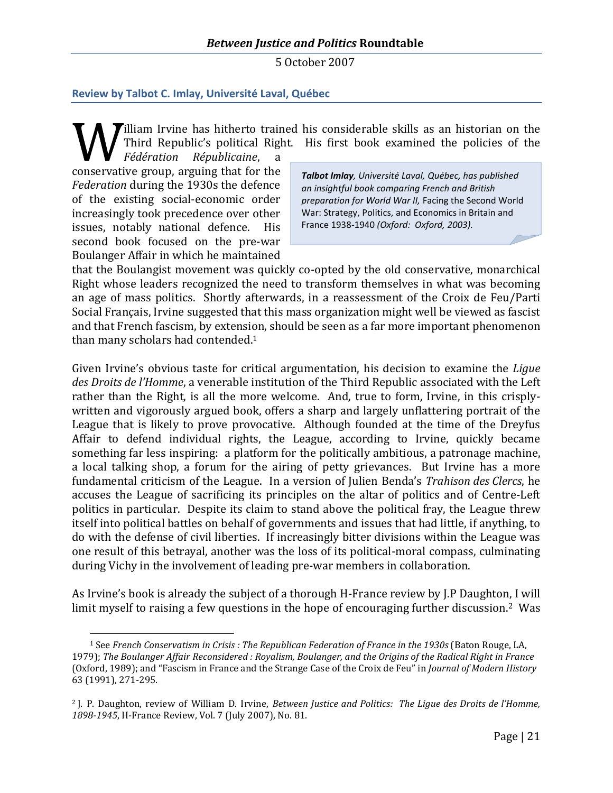## <span id="page-21-0"></span>**Review by Talbot C. Imlay, Université Laval, Québec**

Illiam Irvine has hitherto trained his considerable skills as an historian on the Third Republic's political Right. His first book examined the policies of the

*Fédération Républicaine*, a conservative group, arguing that for the *Federation* during the 1930s the defence of the existing social-economic order increasingly took precedence over other issues, notably national defence. His second book focused on the pre-war Boulanger Affair in which he maintained

*Talbot Imlay, Université Laval, Québec, has published an insightful book comparing French and British preparation for World War II,* Facing the Second World War: Strategy, Politics, and Economics in Britain and France 1938-1940 *(Oxford: Oxford, 2003).*

that the Boulangist movement was quickly co-opted by the old conservative, monarchical Right whose leaders recognized the need to transform themselves in what was becoming an age of mass politics. Shortly afterwards, in a reassessment of the Croix de Feu/Parti Social Français, Irvine suggested that this mass organization might well be viewed as fascist and that French fascism, by extension, should be seen as a far more important phenomenon than many scholars had contended.[1](#page-21-1)

Given Irvine's obvious taste for critical argumentation, his decision to examine the *Ligue des Droits de l'Homme*, a venerable institution of the Third Republic associated with the Left rather than the Right, is all the more welcome. And, true to form, Irvine, in this crisplywritten and vigorously argued book, offers a sharp and largely unflattering portrait of the League that is likely to prove provocative. Although founded at the time of the Dreyfus Affair to defend individual rights, the League, according to Irvine, quickly became something far less inspiring: a platform for the politically ambitious, a patronage machine, a local talking shop, a forum for the airing of petty grievances. But Irvine has a more fundamental criticism of the League. In a version of Julien Benda's *Trahison des Clercs*, he accuses the League of sacrificing its principles on the altar of politics and of Centre-Left politics in particular. Despite its claim to stand above the political fray, the League threw itself into political battles on behalf of governments and issues that had little, if anything, to do with the defense of civil liberties. If increasingly bitter divisions within the League was one result of this betrayal, another was the loss of its political-moral compass, culminating during Vichy in the involvement of leading pre-war members in collaboration.

As Irvine's book is already the subject of a thorough H-France review by J.P Daughton, I will limit myself to raising a few questions in the hope of encouraging further discussion.<sup>[2](#page-21-2)</sup> Was

<span id="page-21-1"></span><sup>1</sup> See *French Conservatism in Crisis : The Republican Federation of France in the 1930s* (Baton Rouge, LA, 1979); *The Boulanger Affair Reconsidered : Royalism, Boulanger, and the Origins of the Radical Right in France* (Oxford, 1989); and "Fascism in France and the Strange Case of the Croix de Feu" in *Journal of Modern History* 63 (1991), 271-295.

<span id="page-21-2"></span><sup>2</sup> J. P. Daughton, review of William D. Irvine, *Between Justice and Politics: The Ligue des Droits de l'Homme, 1898-1945*, H-France Review, Vol. 7 (July 2007), No. 81.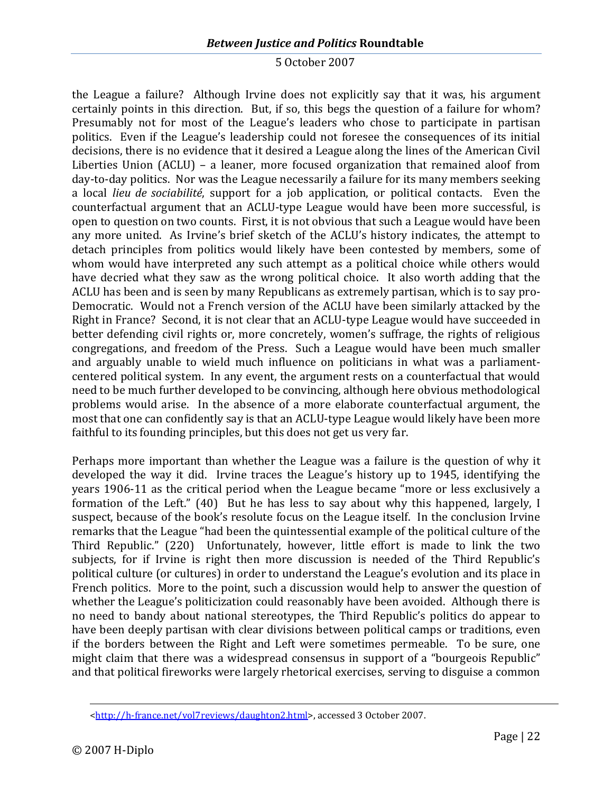# *Between Justice and Politics* **Roundtable**

#### 5 October 2007

the League a failure? Although Irvine does not explicitly say that it was, his argument certainly points in this direction. But, if so, this begs the question of a failure for whom? Presumably not for most of the League's leaders who chose to participate in partisan politics. Even if the League's leadership could not foresee the consequences of its initial decisions, there is no evidence that it desired a League along the lines of the American Civil Liberties Union (ACLU) – a leaner, more focused organization that remained aloof from day-to-day politics. Nor was the League necessarily a failure for its many members seeking a local *lieu de sociabilité*, support for a job application, or political contacts. Even the counterfactual argument that an ACLU-type League would have been more successful, is open to question on two counts. First, it is not obvious that such a League would have been any more united. As Irvine's brief sketch of the ACLU's history indicates, the attempt to detach principles from politics would likely have been contested by members, some of whom would have interpreted any such attempt as a political choice while others would have decried what they saw as the wrong political choice. It also worth adding that the ACLU has been and is seen by many Republicans as extremely partisan, which is to say pro-Democratic. Would not a French version of the ACLU have been similarly attacked by the Right in France? Second, it is not clear that an ACLU-type League would have succeeded in better defending civil rights or, more concretely, women's suffrage, the rights of religious congregations, and freedom of the Press. Such a League would have been much smaller and arguably unable to wield much influence on politicians in what was a parliamentcentered political system. In any event, the argument rests on a counterfactual that would need to be much further developed to be convincing, although here obvious methodological problems would arise. In the absence of a more elaborate counterfactual argument, the most that one can confidently say is that an ACLU-type League would likely have been more faithful to its founding principles, but this does not get us very far.

Perhaps more important than whether the League was a failure is the question of why it developed the way it did. Irvine traces the League's history up to 1945, identifying the years 1906-11 as the critical period when the League became "more or less exclusively a formation of the Left." (40) But he has less to say about why this happened, largely, I suspect, because of the book's resolute focus on the League itself. In the conclusion Irvine remarks that the League "had been the quintessential example of the political culture of the Third Republic." (220) Unfortunately, however, little effort is made to link the two subjects, for if Irvine is right then more discussion is needed of the Third Republic's political culture (or cultures) in order to understand the League's evolution and its place in French politics. More to the point, such a discussion would help to answer the question of whether the League's politicization could reasonably have been avoided. Although there is no need to bandy about national stereotypes, the Third Republic's politics do appear to have been deeply partisan with clear divisions between political camps or traditions, even if the borders between the Right and Left were sometimes permeable. To be sure, one might claim that there was a widespread consensus in support of a "bourgeois Republic" and that political fireworks were largely rhetorical exercises, serving to disguise a common

<sup>&</sup>lt;http://h-france.net/vol7reviews/daughton2.html>, accessed 3 October 2007.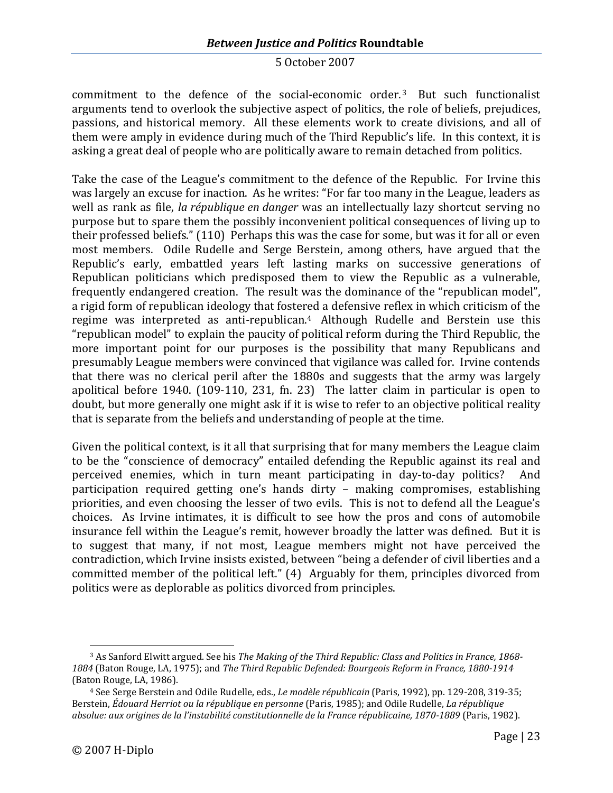commitment to the defence of the social-economicorder.<sup>3</sup> But such functionalist arguments tend to overlook the subjective aspect of politics, the role of beliefs, prejudices, passions, and historical memory. All these elements work to create divisions, and all of them were amply in evidence during much of the Third Republic's life. In this context, it is asking a great deal of people who are politically aware to remain detached from politics.

Take the case of the League's commitment to the defence of the Republic. For Irvine this was largely an excuse for inaction. As he writes: "For far too many in the League, leaders as well as rank as file, *la république en danger* was an intellectually lazy shortcut serving no purpose but to spare them the possibly inconvenient political consequences of living up to their professed beliefs." (110) Perhaps this was the case for some, but was it for all or even most members. Odile Rudelle and Serge Berstein, among others, have argued that the Republic's early, embattled years left lasting marks on successive generations of Republican politicians which predisposed them to view the Republic as a vulnerable, frequently endangered creation. The result was the dominance of the "republican model", a rigid form of republican ideology that fostered a defensive reflex in which criticism of the regime was interpreted as anti-republican.[4](#page-23-1) Although Rudelle and Berstein use this "republican model" to explain the paucity of political reform during the Third Republic, the more important point for our purposes is the possibility that many Republicans and presumably League members were convinced that vigilance was called for. Irvine contends that there was no clerical peril after the 1880s and suggests that the army was largely apolitical before 1940. (109-110, 231, fn. 23) The latter claim in particular is open to doubt, but more generally one might ask if it is wise to refer to an objective political reality that is separate from the beliefs and understanding of people at the time.

Given the political context, is it all that surprising that for many members the League claim to be the "conscience of democracy" entailed defending the Republic against its real and perceived enemies, which in turn meant participating in day-to-day politics? And participation required getting one's hands dirty – making compromises, establishing priorities, and even choosing the lesser of two evils. This is not to defend all the League's choices. As Irvine intimates, it is difficult to see how the pros and cons of automobile insurance fell within the League's remit, however broadly the latter was defined. But it is to suggest that many, if not most, League members might not have perceived the contradiction, which Irvine insists existed, between "being a defender of civil liberties and a committed member of the political left." (4) Arguably for them, principles divorced from politics were as deplorable as politics divorced from principles.

<span id="page-23-0"></span><sup>3</sup> As Sanford Elwitt argued. See his *The Making of the Third Republic: Class and Politics in France, 1868- 1884* (Baton Rouge, LA, 1975); and *The Third Republic Defended: Bourgeois Reform in France, 1880-1914* (Baton Rouge, LA, 1986).

<span id="page-23-1"></span><sup>4</sup> See Serge Berstein and Odile Rudelle, eds., *Le modèle républicain* (Paris, 1992), pp. 129-208, 319-35; Berstein, *Édouard Herriot ou la république en personne* (Paris, 1985); and Odile Rudelle, *La république absolue: aux origines de la l'instabilité constitutionnelle de la France républicaine, 1870-1889* (Paris, 1982).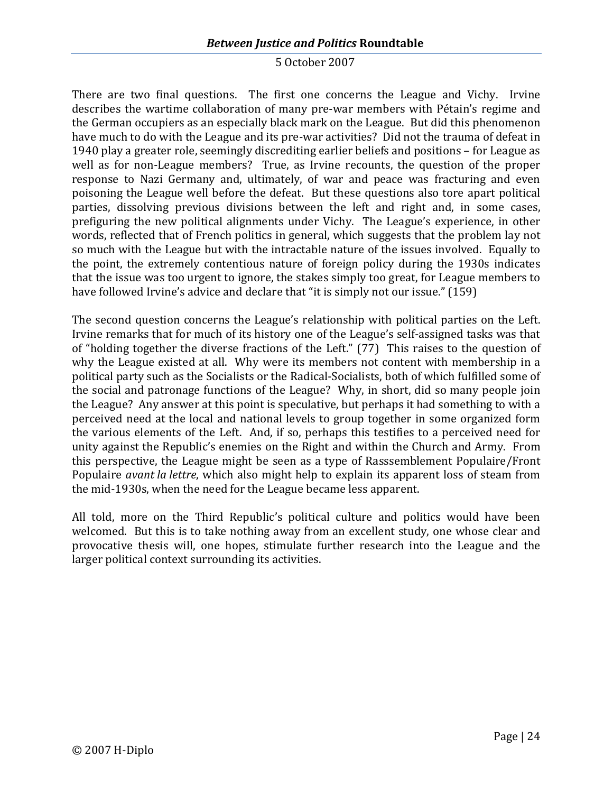# *Between Justice and Politics* **Roundtable**

#### 5 October 2007

There are two final questions. The first one concerns the League and Vichy. Irvine describes the wartime collaboration of many pre-war members with Pétain's regime and the German occupiers as an especially black mark on the League. But did this phenomenon have much to do with the League and its pre-war activities? Did not the trauma of defeat in 1940 play a greater role, seemingly discrediting earlier beliefs and positions – for League as well as for non-League members? True, as Irvine recounts, the question of the proper response to Nazi Germany and, ultimately, of war and peace was fracturing and even poisoning the League well before the defeat. But these questions also tore apart political parties, dissolving previous divisions between the left and right and, in some cases, prefiguring the new political alignments under Vichy. The League's experience, in other words, reflected that of French politics in general, which suggests that the problem lay not so much with the League but with the intractable nature of the issues involved. Equally to the point, the extremely contentious nature of foreign policy during the 1930s indicates that the issue was too urgent to ignore, the stakes simply too great, for League members to have followed Irvine's advice and declare that "it is simply not our issue." (159)

The second question concerns the League's relationship with political parties on the Left. Irvine remarks that for much of its history one of the League's self-assigned tasks was that of "holding together the diverse fractions of the Left." (77) This raises to the question of why the League existed at all. Why were its members not content with membership in a political party such as the Socialists or the Radical-Socialists, both of which fulfilled some of the social and patronage functions of the League? Why, in short, did so many people join the League? Any answer at this point is speculative, but perhaps it had something to with a perceived need at the local and national levels to group together in some organized form the various elements of the Left. And, if so, perhaps this testifies to a perceived need for unity against the Republic's enemies on the Right and within the Church and Army. From this perspective, the League might be seen as a type of Rasssemblement Populaire/Front Populaire *avant la lettre*, which also might help to explain its apparent loss of steam from the mid-1930s, when the need for the League became less apparent.

All told, more on the Third Republic's political culture and politics would have been welcomed. But this is to take nothing away from an excellent study, one whose clear and provocative thesis will, one hopes, stimulate further research into the League and the larger political context surrounding its activities.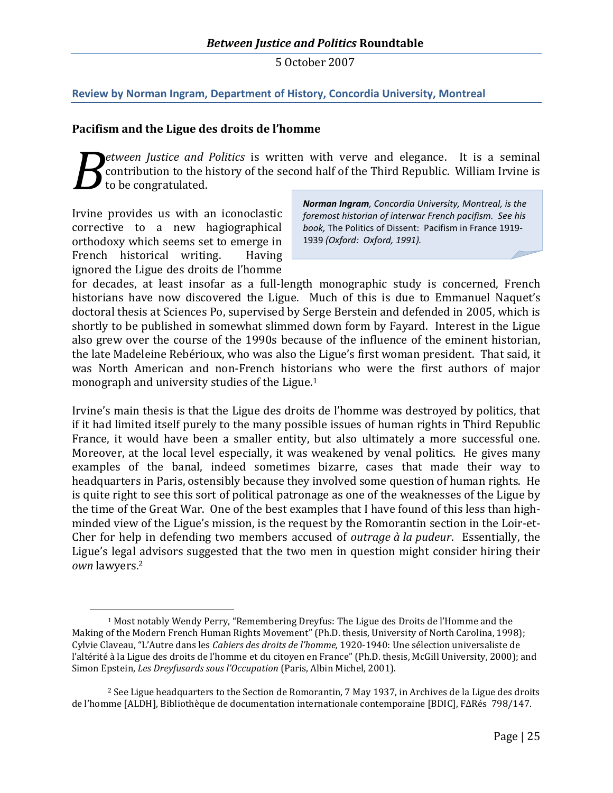## <span id="page-25-0"></span>**Review by Norman Ingram, Department of History, Concordia University, Montreal**

#### **Pacifism and the Ligue des droits de l'homme**

*etween Justice and Politics* is written with verve and elegance. It is a seminal contribution to the history of the second half of the Third Republic. William Irvine is to be congratulated. *B*

Irvine provides us with an iconoclastic corrective to a new hagiographical orthodoxy which seems set to emerge in French historical writing. Having ignored the Ligue des droits de l'homme

*Norman Ingram, Concordia University, Montreal, is the foremost historian of interwar French pacifism. See his book,* The Politics of Dissent: Pacifism in France 1919- 1939 *(Oxford: Oxford, 1991).*

for decades, at least insofar as a full-length monographic study is concerned, French historians have now discovered the Ligue. Much of this is due to Emmanuel Naquet's doctoral thesis at Sciences Po, supervised by Serge Berstein and defended in 2005, which is shortly to be published in somewhat slimmed down form by Fayard. Interest in the Ligue also grew over the course of the 1990s because of the influence of the eminent historian, the late Madeleine Rebérioux, who was also the Ligue's first woman president. That said, it was North American and non-French historians who were the first authors of major monograph and university studies oftheLigue[.](#page-25-1)<sup>1</sup>

Irvine's main thesis is that the Ligue des droits de l'homme was destroyed by politics, that if it had limited itself purely to the many possible issues of human rights in Third Republic France, it would have been a smaller entity, but also ultimately a more successful one. Moreover, at the local level especially, it was weakened by venal politics. He gives many examples of the banal, indeed sometimes bizarre, cases that made their way to headquarters in Paris, ostensibly because they involved some question of human rights. He is quite right to see this sort of political patronage as one of the weaknesses of the Ligue by the time of the Great War. One of the best examples that I have found of this less than highminded view of the Ligue's mission, is the request by the Romorantin section in the Loir-et-Cher for help in defending two members accused of *outrage à la pudeur*. Essentially, the Ligue's legal advisors suggested that the two men in question might consider hiring their *own* lawyers.[2](#page-25-2)

<span id="page-25-1"></span><sup>1</sup> Most notably Wendy Perry, "Remembering Dreyfus: The Ligue des Droits de l'Homme and the Making of the Modern French Human Rights Movement" (Ph.D. thesis, University of North Carolina, 1998); Cylvie Claveau, "L'Autre dans les *Cahiers des droits de l'homme,* 1920-1940: Une sélection universaliste de l'altérité à la Ligue des droits de l'homme et du citoyen en France" (Ph.D. thesis, McGill University, 2000); and Simon Epstein, *Les Dreyfusards sous l'Occupation* (Paris, Albin Michel, 2001).

<span id="page-25-2"></span> $2$  See Ligue headquarters to the Section de Romorantin, 7 May 1937, in Archives de la Ligue des droits de l'homme [ALDH], Bibliothèque de documentation internationale contemporaine [BDIC], F∆Rés 798/147.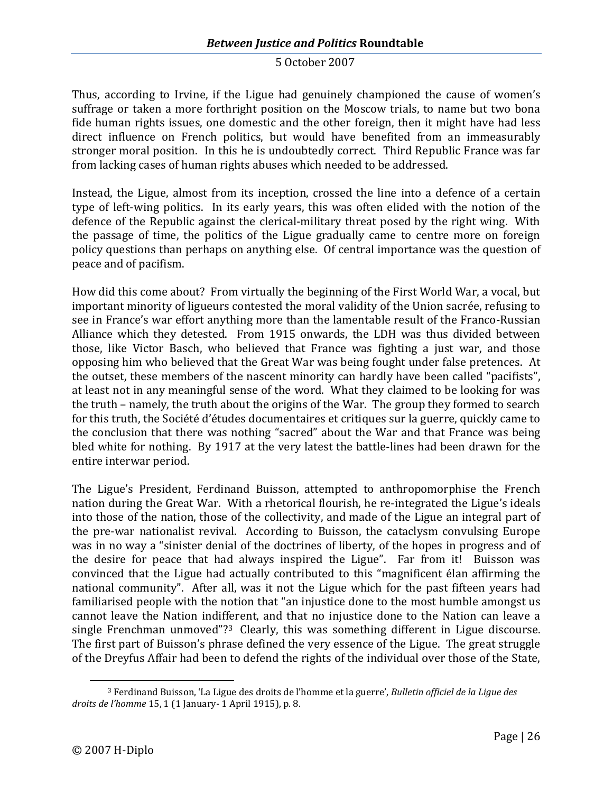Thus, according to Irvine, if the Ligue had genuinely championed the cause of women's suffrage or taken a more forthright position on the Moscow trials, to name but two bona fide human rights issues, one domestic and the other foreign, then it might have had less direct influence on French politics, but would have benefited from an immeasurably stronger moral position. In this he is undoubtedly correct. Third Republic France was far from lacking cases of human rights abuses which needed to be addressed.

Instead, the Ligue, almost from its inception, crossed the line into a defence of a certain type of left-wing politics. In its early years, this was often elided with the notion of the defence of the Republic against the clerical-military threat posed by the right wing. With the passage of time, the politics of the Ligue gradually came to centre more on foreign policy questions than perhaps on anything else. Of central importance was the question of peace and of pacifism.

How did this come about? From virtually the beginning of the First World War, a vocal, but important minority of ligueurs contested the moral validity of the Union sacrée, refusing to see in France's war effort anything more than the lamentable result of the Franco-Russian Alliance which they detested. From 1915 onwards, the LDH was thus divided between those, like Victor Basch, who believed that France was fighting a just war, and those opposing him who believed that the Great War was being fought under false pretences. At the outset, these members of the nascent minority can hardly have been called "pacifists", at least not in any meaningful sense of the word. What they claimed to be looking for was the truth – namely, the truth about the origins of the War. The group they formed to search for this truth, the Société d'études documentaires et critiques sur la guerre, quickly came to the conclusion that there was nothing "sacred" about the War and that France was being bled white for nothing. By 1917 at the very latest the battle-lines had been drawn for the entire interwar period.

The Ligue's President, Ferdinand Buisson, attempted to anthropomorphise the French nation during the Great War. With a rhetorical flourish, he re-integrated the Ligue's ideals into those of the nation, those of the collectivity, and made of the Ligue an integral part of the pre-war nationalist revival. According to Buisson, the cataclysm convulsing Europe was in no way a "sinister denial of the doctrines of liberty, of the hopes in progress and of the desire for peace that had always inspired the Ligue". Far from it! Buisson was convinced that the Ligue had actually contributed to this "magnificent élan affirming the national community". After all, was it not the Ligue which for the past fifteen years had familiarised people with the notion that "an injustice done to the most humble amongst us cannot leave the Nation indifferent, and that no injustice done to the Nation can leave a single Frenchman unmoved"?<sup>[3](#page-26-0)</sup> Clearly, this was something different in Ligue discourse. The first part of Buisson's phrase defined the very essence of the Ligue. The great struggle of the Dreyfus Affair had been to defend the rights of the individual over those of the State,

<span id="page-26-0"></span><sup>3</sup> Ferdinand Buisson, 'La Ligue des droits de l'homme et la guerre', *Bulletin officiel de la Ligue des droits de l'homme* 15, 1 (1 January- 1 April 1915), p. 8.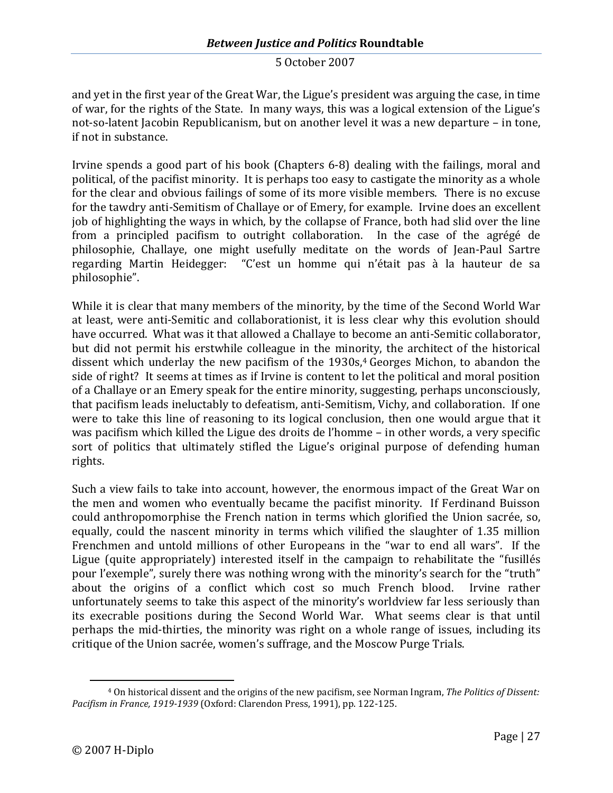and yet in the first year of the Great War, the Ligue's president was arguing the case, in time of war, for the rights of the State. In many ways, this was a logical extension of the Ligue's not-so-latent Jacobin Republicanism, but on another level it was a new departure – in tone, if not in substance.

Irvine spends a good part of his book (Chapters 6-8) dealing with the failings, moral and political, of the pacifist minority. It is perhaps too easy to castigate the minority as a whole for the clear and obvious failings of some of its more visible members. There is no excuse for the tawdry anti-Semitism of Challaye or of Emery, for example. Irvine does an excellent job of highlighting the ways in which, by the collapse of France, both had slid over the line from a principled pacifism to outright collaboration. In the case of the agrégé de philosophie, Challaye, one might usefully meditate on the words of Jean-Paul Sartre regarding Martin Heidegger: "C'est un homme qui n'était pas à la hauteur de sa philosophie".

While it is clear that many members of the minority, by the time of the Second World War at least, were anti-Semitic and collaborationist, it is less clear why this evolution should have occurred. What was it that allowed a Challaye to become an anti-Semitic collaborator, but did not permit his erstwhile colleague in the minority, the architect of the historical dissentwhich underlay the new pacifism of the 1930s[,](#page-27-0)<sup>4</sup> Georges Michon, to abandon the side of right? It seems at times as if Irvine is content to let the political and moral position of a Challaye or an Emery speak for the entire minority, suggesting, perhaps unconsciously, that pacifism leads ineluctably to defeatism, anti-Semitism, Vichy, and collaboration. If one were to take this line of reasoning to its logical conclusion, then one would argue that it was pacifism which killed the Ligue des droits de l'homme – in other words, a very specific sort of politics that ultimately stifled the Ligue's original purpose of defending human rights.

Such a view fails to take into account, however, the enormous impact of the Great War on the men and women who eventually became the pacifist minority. If Ferdinand Buisson could anthropomorphise the French nation in terms which glorified the Union sacrée, so, equally, could the nascent minority in terms which vilified the slaughter of 1.35 million Frenchmen and untold millions of other Europeans in the "war to end all wars". If the Ligue (quite appropriately) interested itself in the campaign to rehabilitate the "fusillés pour l'exemple", surely there was nothing wrong with the minority's search for the "truth" about the origins of a conflict which cost so much French blood. Irvine rather unfortunately seems to take this aspect of the minority's worldview far less seriously than its execrable positions during the Second World War. What seems clear is that until perhaps the mid-thirties, the minority was right on a whole range of issues, including its critique of the Union sacrée, women's suffrage, and the Moscow Purge Trials.

<span id="page-27-0"></span><sup>4</sup> On historical dissent and the origins of the new pacifism, see Norman Ingram, *The Politics of Dissent: Pacifism in France, 1919-1939* (Oxford: Clarendon Press, 1991), pp. 122-125.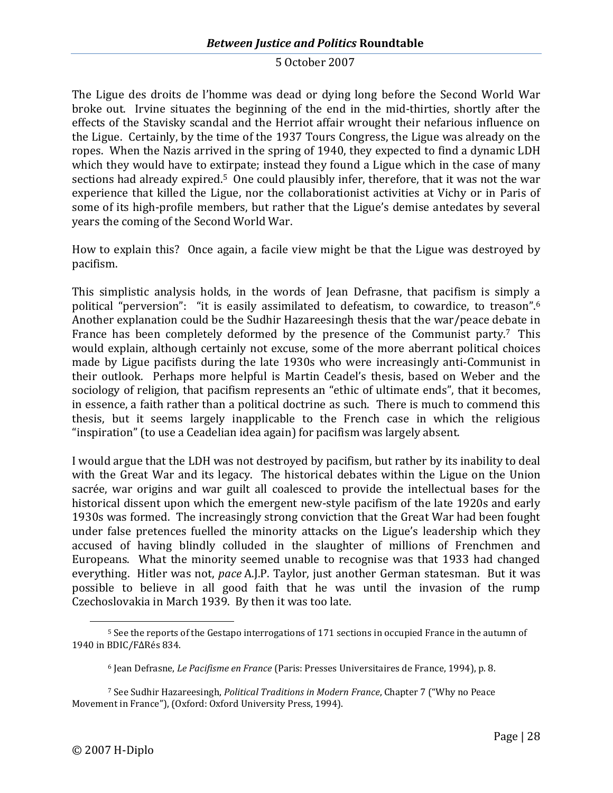The Ligue des droits de l'homme was dead or dying long before the Second World War broke out. Irvine situates the beginning of the end in the mid-thirties, shortly after the effects of the Stavisky scandal and the Herriot affair wrought their nefarious influence on the Ligue. Certainly, by the time of the 1937 Tours Congress, the Ligue was already on the ropes. When the Nazis arrived in the spring of 1940, they expected to find a dynamic LDH which they would have to extirpate; instead they found a Ligue which in the case of many sectionshad already expired.<sup>5</sup> One could plausibly infer, therefore, that it was not the war experience that killed the Ligue, nor the collaborationist activities at Vichy or in Paris of some of its high-profile members, but rather that the Ligue's demise antedates by several years the coming of the Second World War.

How to explain this? Once again, a facile view might be that the Ligue was destroyed by pacifism.

This simplistic analysis holds, in the words of Jean Defrasne, that pacifism is simply a political "perversion": "it is easily assimilated to defeatism, to cowardice, totreason". 6 Another explanation could be the Sudhir Hazareesingh thesis that the war/peace debate in Francehas been completely deformed by the presence of the Communist party.<sup>7</sup> This would explain, although certainly not excuse, some of the more aberrant political choices made by Ligue pacifists during the late 1930s who were increasingly anti-Communist in their outlook. Perhaps more helpful is Martin Ceadel's thesis, based on Weber and the sociology of religion, that pacifism represents an "ethic of ultimate ends", that it becomes, in essence, a faith rather than a political doctrine as such. There is much to commend this thesis, but it seems largely inapplicable to the French case in which the religious "inspiration" (to use a Ceadelian idea again) for pacifism was largely absent.

I would argue that the LDH was not destroyed by pacifism, but rather by its inability to deal with the Great War and its legacy. The historical debates within the Ligue on the Union sacrée, war origins and war guilt all coalesced to provide the intellectual bases for the historical dissent upon which the emergent new-style pacifism of the late 1920s and early 1930s was formed. The increasingly strong conviction that the Great War had been fought under false pretences fuelled the minority attacks on the Ligue's leadership which they accused of having blindly colluded in the slaughter of millions of Frenchmen and Europeans. What the minority seemed unable to recognise was that 1933 had changed everything. Hitler was not, *pace* A.J.P. Taylor, just another German statesman. But it was possible to believe in all good faith that he was until the invasion of the rump Czechoslovakia in March 1939. By then it was too late.

<span id="page-28-0"></span><sup>&</sup>lt;sup>5</sup> See the reports of the Gestapo interrogations of 171 sections in occupied France in the autumn of 1940 in BDIC/F∆Rés 834.

<span id="page-28-2"></span><span id="page-28-1"></span><sup>6</sup> Jean Defrasne, *Le Pacifisme en France* (Paris: Presses Universitaires de France, 1994), p. 8.

<sup>7</sup> See Sudhir Hazareesingh, *Political Traditions in Modern France*, Chapter 7 ("Why no Peace Movement in France"), (Oxford: Oxford University Press, 1994).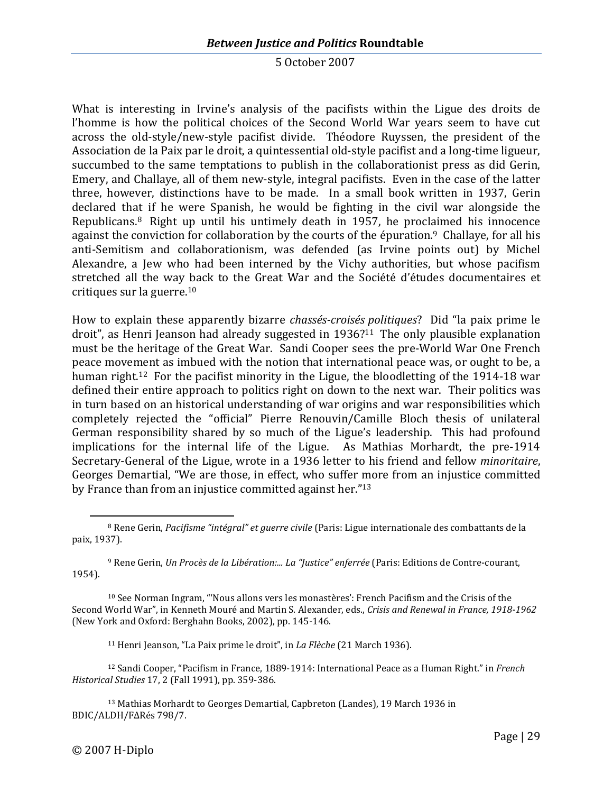What is interesting in Irvine's analysis of the pacifists within the Ligue des droits de l'homme is how the political choices of the Second World War years seem to have cut across the old-style/new-style pacifist divide. Théodore Ruyssen, the president of the Association de la Paix par le droit, a quintessential old-style pacifist and a long-time ligueur, succumbed to the same temptations to publish in the collaborationist press as did Gerin, Emery, and Challaye, all of them new-style, integral pacifists. Even in the case of the latter three, however, distinctions have to be made. In a small book written in 1937, Gerin declared that if he were Spanish, he would be fighting in the civil war alongside the Republicans.[8](#page-29-0) Right up until his untimely death in 1957, he proclaimed his innocence against the conviction for collaboration by the courts of the épuration.<sup>[9](#page-29-1)</sup> Challaye, for all his anti-Semitism and collaborationism, was defended (as Irvine points out) by Michel Alexandre, a Jew who had been interned by the Vichy authorities, but whose pacifism stretched all the way back to the Great War and the Société d'études documentaires et critiques surlaguerre.<sup>10</sup>

How to explain these apparently bizarre *chassés-croisés politiques*? Did "la paix prime le droit", as Henri Jeanson had already suggestedin1936?<sup>11</sup> The only plausible explanation must be the heritage of the Great War. Sandi Cooper sees the pre-World War One French peace movement as imbued with the notion that international peace was, or ought to be, a humanright.<sup>12</sup> For the pacifist minority in the Ligue, the bloodletting of the 1914-18 war defined their entire approach to politics right on down to the next war. Their politics was in turn based on an historical understanding of war origins and war responsibilities which completely rejected the "official" Pierre Renouvin/Camille Bloch thesis of unilateral German responsibility shared by so much of the Ligue's leadership. This had profound implications for the internal life of the Ligue. As Mathias Morhardt, the pre-1914 Secretary-General of the Ligue, wrote in a 1936 letter to his friend and fellow *minoritaire*, Georges Demartial, "We are those, in effect, who suffer more from an injustice committed by France than from an injustice committed againsther.["](#page-29-5) 13

<span id="page-29-1"></span><sup>9</sup> Rene Gerin, *Un Procès de la Libération:... La "Justice" enferrée* (Paris: Editions de Contre-courant, 1954).

<span id="page-29-2"></span><sup>10</sup> See Norman Ingram, "'Nous allons vers les monastères': French Pacifism and the Crisis of the Second World War", in Kenneth Mouré and Martin S. Alexander, eds., *Crisis and Renewal in France, 1918-1962* (New York and Oxford: Berghahn Books, 2002), pp. 145-146.

<span id="page-29-4"></span><span id="page-29-3"></span><sup>11</sup> Henri Jeanson, "La Paix prime le droit", in *La Flèche* (21 March 1936).

<sup>12</sup> Sandi Cooper, "Pacifism in France, 1889-1914: International Peace as a Human Right." in *French Historical Studies* 17, 2 (Fall 1991), pp. 359-386.

<span id="page-29-5"></span><sup>13</sup> Mathias Morhardt to Georges Demartial, Capbreton (Landes), 19 March 1936 in BDIC/ALDH/F∆Rés 798/7.

<span id="page-29-0"></span><sup>8</sup> Rene Gerin, *Pacifisme "intégral" et guerre civile* (Paris: Ligue internationale des combattants de la paix, 1937).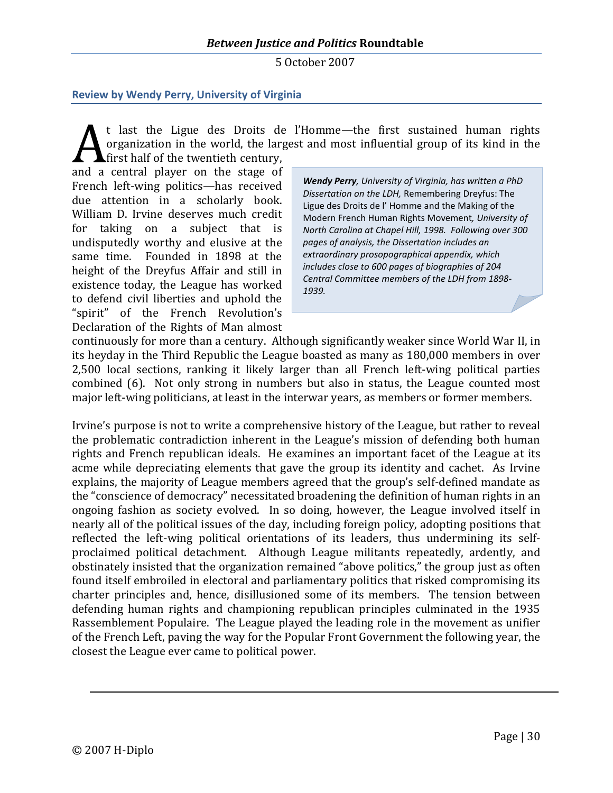## <span id="page-30-0"></span>**Review by Wendy Perry, University of Virginia**

t last the Ligue des Droits de l'Homme—the first sustained human rights organization in the world, the largest and most influential group of its kind in the **A** first half of the twentieth century,

and a central player on the stage of French left-wing politics—has received due attention in a scholarly book. William D. Irvine deserves much credit for taking on a subject that is undisputedly worthy and elusive at the same time. Founded in 1898 at the height of the Dreyfus Affair and still in existence today, the League has worked to defend civil liberties and uphold the "spirit" of the French Revolution's Declaration of the Rights of Man almost

*Wendy Perry, University of Virginia, has written a PhD Dissertation on the LDH,* Remembering Dreyfus: The Ligue des Droits de l' Homme and the Making of the Modern French Human Rights Movement*, University of North Carolina at Chapel Hill, 1998. Following over 300 pages of analysis, the Dissertation includes an extraordinary prosopographical appendix, which includes close to 600 pages of biographies of 204 Central Committee members of the LDH from 1898- 1939.*

continuously for more than a century. Although significantly weaker since World War II, in its heyday in the Third Republic the League boasted as many as 180,000 members in over 2,500 local sections, ranking it likely larger than all French left-wing political parties combined (6). Not only strong in numbers but also in status, the League counted most major left-wing politicians, at least in the interwar years, as members or former members.

Irvine's purpose is not to write a comprehensive history of the League, but rather to reveal the problematic contradiction inherent in the League's mission of defending both human rights and French republican ideals. He examines an important facet of the League at its acme while depreciating elements that gave the group its identity and cachet. As Irvine explains, the majority of League members agreed that the group's self-defined mandate as the "conscience of democracy" necessitated broadening the definition of human rights in an ongoing fashion as society evolved. In so doing, however, the League involved itself in nearly all of the political issues of the day, including foreign policy, adopting positions that reflected the left-wing political orientations of its leaders, thus undermining its selfproclaimed political detachment. Although League militants repeatedly, ardently, and obstinately insisted that the organization remained "above politics," the group just as often found itself embroiled in electoral and parliamentary politics that risked compromising its charter principles and, hence, disillusioned some of its members. The tension between defending human rights and championing republican principles culminated in the 1935 Rassemblement Populaire. The League played the leading role in the movement as unifier of the French Left, paving the way for the Popular Front Government the following year, the closest the League ever came to political power.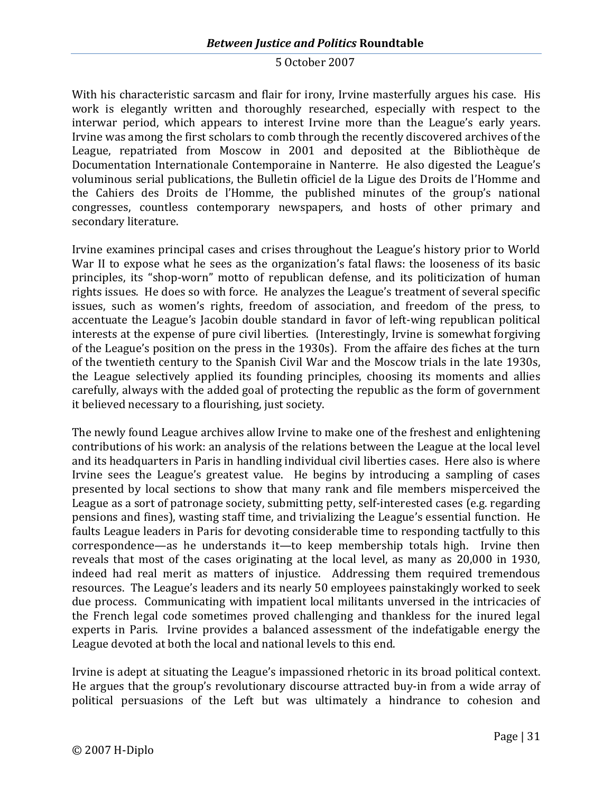# *Between Justice and Politics* **Roundtable**

#### 5 October 2007

With his characteristic sarcasm and flair for irony, Irvine masterfully argues his case. His work is elegantly written and thoroughly researched, especially with respect to the interwar period, which appears to interest Irvine more than the League's early years. Irvine was among the first scholars to comb through the recently discovered archives of the League, repatriated from Moscow in 2001 and deposited at the Bibliothèque de Documentation Internationale Contemporaine in Nanterre. He also digested the League's voluminous serial publications, the Bulletin officiel de la Ligue des Droits de l'Homme and the Cahiers des Droits de l'Homme, the published minutes of the group's national congresses, countless contemporary newspapers, and hosts of other primary and secondary literature.

Irvine examines principal cases and crises throughout the League's history prior to World War II to expose what he sees as the organization's fatal flaws: the looseness of its basic principles, its "shop-worn" motto of republican defense, and its politicization of human rights issues. He does so with force. He analyzes the League's treatment of several specific issues, such as women's rights, freedom of association, and freedom of the press, to accentuate the League's Jacobin double standard in favor of left-wing republican political interests at the expense of pure civil liberties. (Interestingly, Irvine is somewhat forgiving of the League's position on the press in the 1930s). From the affaire des fiches at the turn of the twentieth century to the Spanish Civil War and the Moscow trials in the late 1930s, the League selectively applied its founding principles, choosing its moments and allies carefully, always with the added goal of protecting the republic as the form of government it believed necessary to a flourishing, just society.

The newly found League archives allow Irvine to make one of the freshest and enlightening contributions of his work: an analysis of the relations between the League at the local level and its headquarters in Paris in handling individual civil liberties cases. Here also is where Irvine sees the League's greatest value. He begins by introducing a sampling of cases presented by local sections to show that many rank and file members misperceived the League as a sort of patronage society, submitting petty, self-interested cases (e.g. regarding pensions and fines), wasting staff time, and trivializing the League's essential function. He faults League leaders in Paris for devoting considerable time to responding tactfully to this correspondence—as he understands it—to keep membership totals high. Irvine then reveals that most of the cases originating at the local level, as many as 20,000 in 1930, indeed had real merit as matters of injustice. Addressing them required tremendous resources. The League's leaders and its nearly 50 employees painstakingly worked to seek due process. Communicating with impatient local militants unversed in the intricacies of the French legal code sometimes proved challenging and thankless for the inured legal experts in Paris. Irvine provides a balanced assessment of the indefatigable energy the League devoted at both the local and national levels to this end.

Irvine is adept at situating the League's impassioned rhetoric in its broad political context. He argues that the group's revolutionary discourse attracted buy-in from a wide array of political persuasions of the Left but was ultimately a hindrance to cohesion and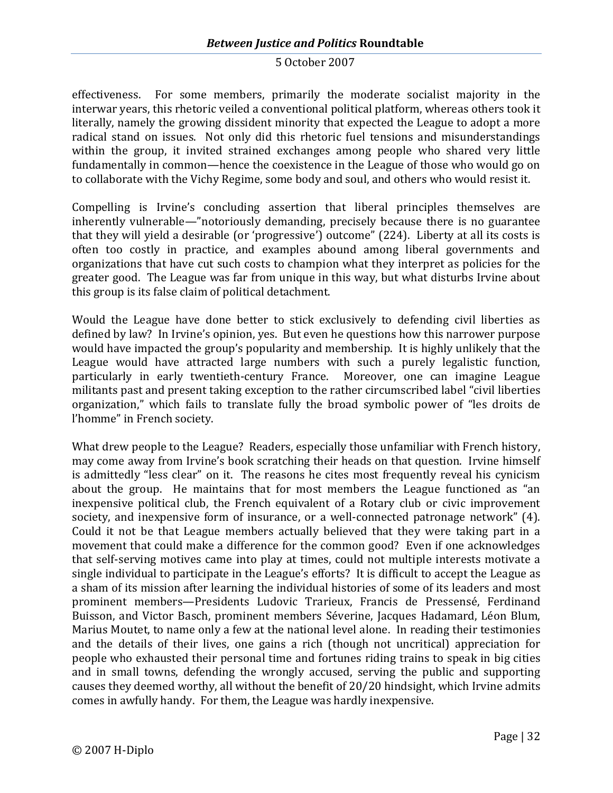effectiveness. For some members, primarily the moderate socialist majority in the interwar years, this rhetoric veiled a conventional political platform, whereas others took it literally, namely the growing dissident minority that expected the League to adopt a more radical stand on issues. Not only did this rhetoric fuel tensions and misunderstandings within the group, it invited strained exchanges among people who shared very little fundamentally in common—hence the coexistence in the League of those who would go on to collaborate with the Vichy Regime, some body and soul, and others who would resist it.

Compelling is Irvine's concluding assertion that liberal principles themselves are inherently vulnerable—"notoriously demanding, precisely because there is no guarantee that they will yield a desirable (or 'progressive') outcome" (224). Liberty at all its costs is often too costly in practice, and examples abound among liberal governments and organizations that have cut such costs to champion what they interpret as policies for the greater good. The League was far from unique in this way, but what disturbs Irvine about this group is its false claim of political detachment.

Would the League have done better to stick exclusively to defending civil liberties as defined by law? In Irvine's opinion, yes. But even he questions how this narrower purpose would have impacted the group's popularity and membership. It is highly unlikely that the League would have attracted large numbers with such a purely legalistic function, particularly in early twentieth-century France. Moreover, one can imagine League militants past and present taking exception to the rather circumscribed label "civil liberties organization," which fails to translate fully the broad symbolic power of "les droits de l'homme" in French society.

What drew people to the League? Readers, especially those unfamiliar with French history, may come away from Irvine's book scratching their heads on that question. Irvine himself is admittedly "less clear" on it. The reasons he cites most frequently reveal his cynicism about the group. He maintains that for most members the League functioned as "an inexpensive political club, the French equivalent of a Rotary club or civic improvement society, and inexpensive form of insurance, or a well-connected patronage network" (4). Could it not be that League members actually believed that they were taking part in a movement that could make a difference for the common good? Even if one acknowledges that self-serving motives came into play at times, could not multiple interests motivate a single individual to participate in the League's efforts? It is difficult to accept the League as a sham of its mission after learning the individual histories of some of its leaders and most prominent members—Presidents Ludovic Trarieux, Francis de Pressensé, Ferdinand Buisson, and Victor Basch, prominent members Séverine, Jacques Hadamard, Léon Blum, Marius Moutet, to name only a few at the national level alone. In reading their testimonies and the details of their lives, one gains a rich (though not uncritical) appreciation for people who exhausted their personal time and fortunes riding trains to speak in big cities and in small towns, defending the wrongly accused, serving the public and supporting causes they deemed worthy, all without the benefit of 20/20 hindsight, which Irvine admits comes in awfully handy. For them, the League was hardly inexpensive.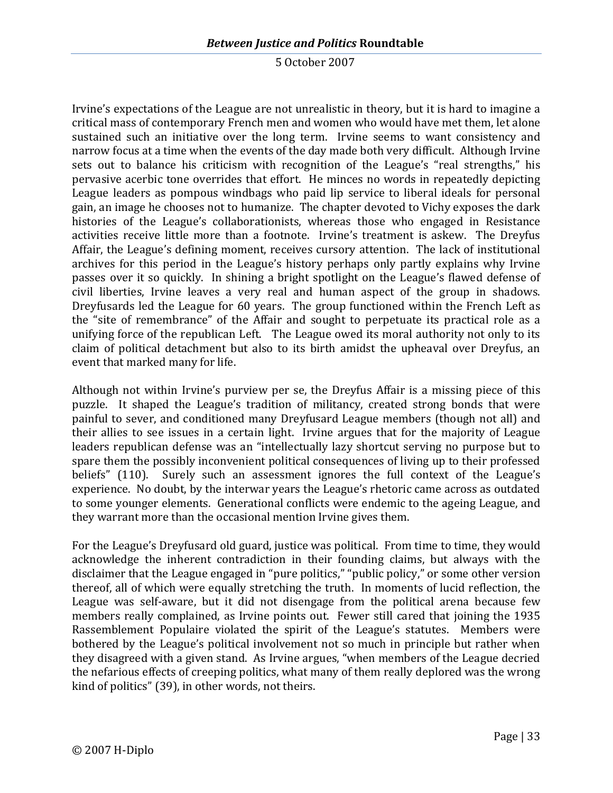Irvine's expectations of the League are not unrealistic in theory, but it is hard to imagine a critical mass of contemporary French men and women who would have met them, let alone sustained such an initiative over the long term. Irvine seems to want consistency and narrow focus at a time when the events of the day made both very difficult. Although Irvine sets out to balance his criticism with recognition of the League's "real strengths," his pervasive acerbic tone overrides that effort. He minces no words in repeatedly depicting League leaders as pompous windbags who paid lip service to liberal ideals for personal gain, an image he chooses not to humanize. The chapter devoted to Vichy exposes the dark histories of the League's collaborationists, whereas those who engaged in Resistance activities receive little more than a footnote. Irvine's treatment is askew. The Dreyfus Affair, the League's defining moment, receives cursory attention. The lack of institutional archives for this period in the League's history perhaps only partly explains why Irvine passes over it so quickly. In shining a bright spotlight on the League's flawed defense of civil liberties, Irvine leaves a very real and human aspect of the group in shadows. Dreyfusards led the League for 60 years. The group functioned within the French Left as the "site of remembrance" of the Affair and sought to perpetuate its practical role as a unifying force of the republican Left. The League owed its moral authority not only to its claim of political detachment but also to its birth amidst the upheaval over Dreyfus, an event that marked many for life.

Although not within Irvine's purview per se, the Dreyfus Affair is a missing piece of this puzzle. It shaped the League's tradition of militancy, created strong bonds that were painful to sever, and conditioned many Dreyfusard League members (though not all) and their allies to see issues in a certain light. Irvine argues that for the majority of League leaders republican defense was an "intellectually lazy shortcut serving no purpose but to spare them the possibly inconvenient political consequences of living up to their professed beliefs" (110). Surely such an assessment ignores the full context of the League's experience. No doubt, by the interwar years the League's rhetoric came across as outdated to some younger elements. Generational conflicts were endemic to the ageing League, and they warrant more than the occasional mention Irvine gives them.

For the League's Dreyfusard old guard, justice was political. From time to time, they would acknowledge the inherent contradiction in their founding claims, but always with the disclaimer that the League engaged in "pure politics," "public policy," or some other version thereof, all of which were equally stretching the truth. In moments of lucid reflection, the League was self-aware, but it did not disengage from the political arena because few members really complained, as Irvine points out. Fewer still cared that joining the 1935 Rassemblement Populaire violated the spirit of the League's statutes. Members were bothered by the League's political involvement not so much in principle but rather when they disagreed with a given stand. As Irvine argues, "when members of the League decried the nefarious effects of creeping politics, what many of them really deplored was the wrong kind of politics" (39), in other words, not theirs.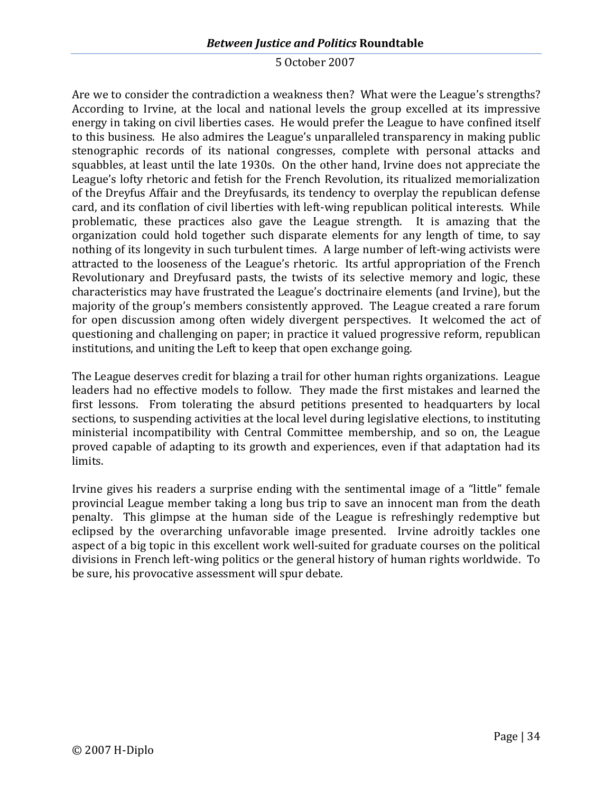# *Between Justice and Politics* **Roundtable**

#### 5 October 2007

Are we to consider the contradiction a weakness then? What were the League's strengths? According to Irvine, at the local and national levels the group excelled at its impressive energy in taking on civil liberties cases. He would prefer the League to have confined itself to this business. He also admires the League's unparalleled transparency in making public stenographic records of its national congresses, complete with personal attacks and squabbles, at least until the late 1930s. On the other hand, Irvine does not appreciate the League's lofty rhetoric and fetish for the French Revolution, its ritualized memorialization of the Dreyfus Affair and the Dreyfusards, its tendency to overplay the republican defense card, and its conflation of civil liberties with left-wing republican political interests. While problematic, these practices also gave the League strength. It is amazing that the organization could hold together such disparate elements for any length of time, to say nothing of its longevity in such turbulent times. A large number of left-wing activists were attracted to the looseness of the League's rhetoric. Its artful appropriation of the French Revolutionary and Dreyfusard pasts, the twists of its selective memory and logic, these characteristics may have frustrated the League's doctrinaire elements (and Irvine), but the majority of the group's members consistently approved. The League created a rare forum for open discussion among often widely divergent perspectives. It welcomed the act of questioning and challenging on paper; in practice it valued progressive reform, republican institutions, and uniting the Left to keep that open exchange going.

The League deserves credit for blazing a trail for other human rights organizations. League leaders had no effective models to follow. They made the first mistakes and learned the first lessons. From tolerating the absurd petitions presented to headquarters by local sections, to suspending activities at the local level during legislative elections, to instituting ministerial incompatibility with Central Committee membership, and so on, the League proved capable of adapting to its growth and experiences, even if that adaptation had its limits.

Irvine gives his readers a surprise ending with the sentimental image of a "little" female provincial League member taking a long bus trip to save an innocent man from the death penalty. This glimpse at the human side of the League is refreshingly redemptive but eclipsed by the overarching unfavorable image presented. Irvine adroitly tackles one aspect of a big topic in this excellent work well-suited for graduate courses on the political divisions in French left-wing politics or the general history of human rights worldwide. To be sure, his provocative assessment will spur debate.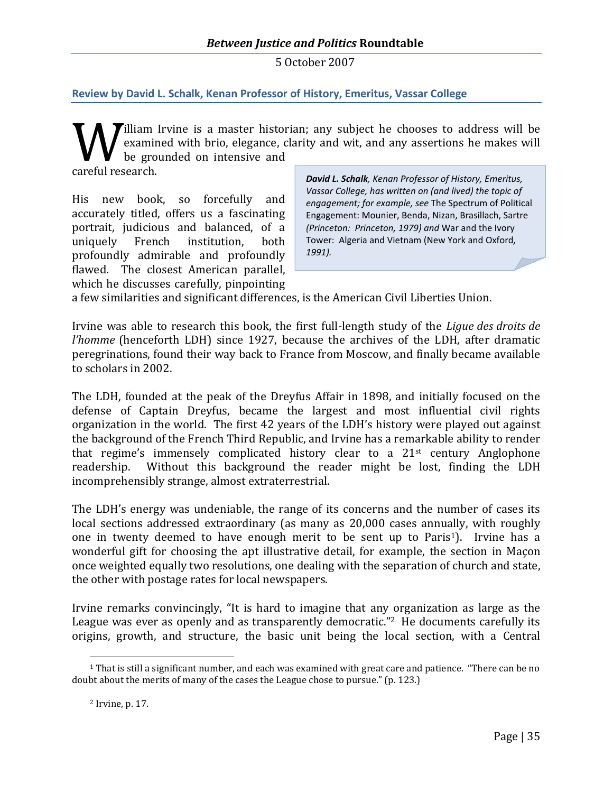<span id="page-35-0"></span>**Review by David L. Schalk, Kenan Professor of History, Emeritus, Vassar College**

**Tilliam Irvine is a master historian; any subject he chooses to address will be** examined with brio, elegance, clarity and wit, and any assertions he makes will be grounded on intensive and

careful research.

His new book, so forcefully and accurately titled, offers us a fascinating portrait, judicious and balanced, of a uniquely French institution, both profoundly admirable and profoundly flawed. The closest American parallel, which he discusses carefully, pinpointing

*David L. Schalk, Kenan Professor of History, Emeritus, Vassar College, has written on (and lived) the topic of engagement; for example, see* The Spectrum of Political Engagement: Mounier, Benda, Nizan, Brasillach, Sartre *(Princeton: Princeton, 1979) and* War and the Ivory Tower: Algeria and Vietnam (New York and Oxford*, 1991).*

a few similarities and significant differences, is the American Civil Liberties Union.

Irvine was able to research this book, the first full-length study of the *Ligue des droits de l'homme* (henceforth LDH) since 1927, because the archives of the LDH, after dramatic peregrinations, found their way back to France from Moscow, and finally became available to scholars in 2002.

The LDH, founded at the peak of the Dreyfus Affair in 1898, and initially focused on the defense of Captain Dreyfus, became the largest and most influential civil rights organization in the world. The first 42 years of the LDH's history were played out against the background of the French Third Republic, and Irvine has a remarkable ability to render that regime's immensely complicated history clear to a 21st century Anglophone readership. Without this background the reader might be lost, finding the LDH incomprehensibly strange, almost extraterrestrial.

The LDH's energy was undeniable, the range of its concerns and the number of cases its local sections addressed extraordinary (as many as 20,000 cases annually, with roughly onein twenty deemed to have enough merit to be sent up to Paris<sup>1</sup>). Irvine has a wonderful gift for choosing the apt illustrative detail, for example, the section in Maçon once weighted equally two resolutions, one dealing with the separation of church and state, the other with postage rates for local newspapers.

Irvine remarks convincingly, "It is hard to imagine that any organization as large as the League was ever as openly and as transparently democratic." [2](#page-35-2) He documents carefully its origins, growth, and structure, the basic unit being the local section, with a Central

<span id="page-35-1"></span> $1$  That is still a significant number, and each was examined with great care and patience. "There can be no doubt about the merits of many of the cases the League chose to pursue." (p. 123.)

<span id="page-35-2"></span><sup>2</sup> Irvine, p. 17.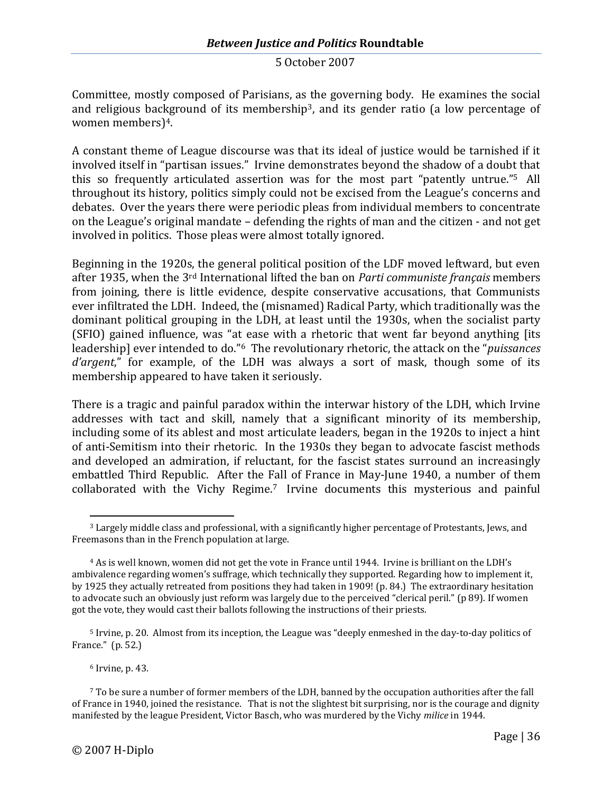Committee, mostly composed of Parisians, as the governing body. He examines the social and religious background of its membership<sup>[3](#page-36-0)</sup>, and its gender ratio (a low percentage of women members)[4](#page-36-1).

A constant theme of League discourse was that its ideal of justice would be tarnished if it involved itself in "partisan issues." Irvine demonstrates beyond the shadow of a doubt that this so frequently articulated assertion was for the most part "patentlyuntrue.["](#page-36-2) <sup>5</sup> All throughout its history, politics simply could not be excised from the League's concerns and debates. Over the years there were periodic pleas from individual members to concentrate on the League's original mandate – defending the rights of man and the citizen - and not get involved in politics. Those pleas were almost totally ignored.

Beginning in the 1920s, the general political position of the LDF moved leftward, but even after 1935, when the 3rd International lifted the ban on *Parti communiste français* members from joining, there is little evidence, despite conservative accusations, that Communists ever infiltrated the LDH. Indeed, the (misnamed) Radical Party, which traditionally was the dominant political grouping in the LDH, at least until the 1930s, when the socialist party (SFIO) gained influence, was "at ease with a rhetoric that went far beyond anything [its leadership] ever intendedtodo." <sup>6</sup> The revolutionary rhetoric, the attack on the "*puissances d'argent*," for example, of the LDH was always a sort of mask, though some of its membership appeared to have taken it seriously.

There is a tragic and painful paradox within the interwar history of the LDH, which Irvine addresses with tact and skill, namely that a significant minority of its membership, including some of its ablest and most articulate leaders, began in the 1920s to inject a hint of anti-Semitism into their rhetoric. In the 1930s they began to advocate fascist methods and developed an admiration, if reluctant, for the fascist states surround an increasingly embattled Third Republic. After the Fall of France in May-June 1940, a number of them collaborated with the VichyRegime.<sup>7</sup> Irvine documents this mysterious and painful

<span id="page-36-4"></span><span id="page-36-3"></span><sup>6</sup> Irvine, p. 43.

<span id="page-36-0"></span><sup>3</sup> Largely middle class and professional, with a significantly higher percentage of Protestants, Jews, and Freemasons than in the French population at large.

<span id="page-36-1"></span><sup>4</sup> As is well known, women did not get the vote in France until 1944. Irvine is brilliant on the LDH's ambivalence regarding women's suffrage, which technically they supported. Regarding how to implement it, by 1925 they actually retreated from positions they had taken in 1909! (p. 84.) The extraordinary hesitation to advocate such an obviously just reform was largely due to the perceived "clerical peril." (p 89). If women got the vote, they would cast their ballots following the instructions of their priests.

<span id="page-36-2"></span><sup>&</sup>lt;sup>5</sup> Irvine, p. 20. Almost from its inception, the League was "deeply enmeshed in the day-to-day politics of France." (p. 52.)

 $7$  To be sure a number of former members of the LDH, banned by the occupation authorities after the fall of France in 1940, joined the resistance. That is not the slightest bit surprising, nor is the courage and dignity manifested by the league President, Victor Basch, who was murdered by the Vichy *milice* in 1944.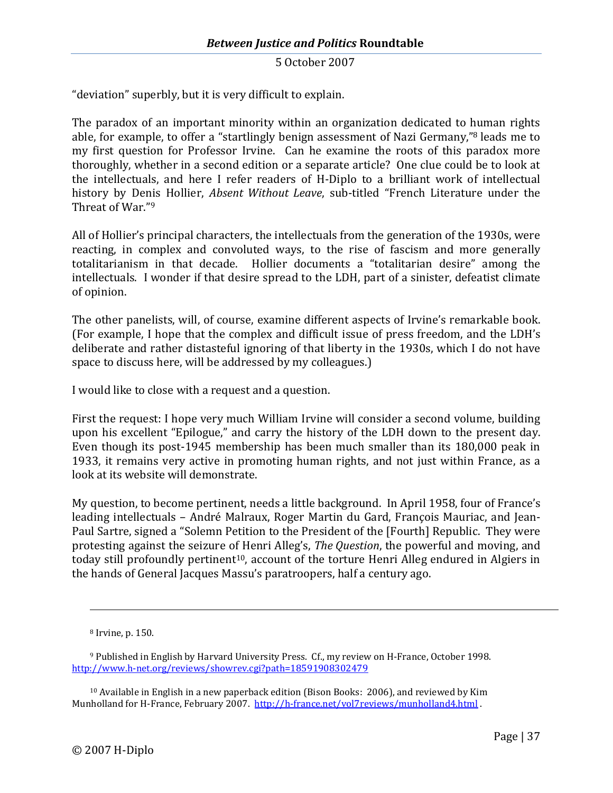"deviation" superbly, but it is very difficult to explain.

The paradox of an important minority within an organization dedicated to human rights able, for example, to offer a "startlingly benign assessment of Nazi Germany," [8](#page-37-0) leads me to my first question for Professor Irvine. Can he examine the roots of this paradox more thoroughly, whether in a second edition or a separate article? One clue could be to look at the intellectuals, and here I refer readers of H-Diplo to a brilliant work of intellectual history by Denis Hollier, *Absent Without Leave*, sub-titled "French Literature under the ThreatofWar." 9

All of Hollier's principal characters, the intellectuals from the generation of the 1930s, were reacting, in complex and convoluted ways, to the rise of fascism and more generally totalitarianism in that decade. Hollier documents a "totalitarian desire" among the intellectuals. I wonder if that desire spread to the LDH, part of a sinister, defeatist climate of opinion.

The other panelists, will, of course, examine different aspects of Irvine's remarkable book. (For example, I hope that the complex and difficult issue of press freedom, and the LDH's deliberate and rather distasteful ignoring of that liberty in the 1930s, which I do not have space to discuss here, will be addressed by my colleagues.)

I would like to close with a request and a question.

First the request: I hope very much William Irvine will consider a second volume, building upon his excellent "Epilogue," and carry the history of the LDH down to the present day. Even though its post-1945 membership has been much smaller than its 180,000 peak in 1933, it remains very active in promoting human rights, and not just within France, as a look at its website will demonstrate.

My question, to become pertinent, needs a little background. In April 1958, four of France's leading intellectuals – André Malraux, Roger Martin du Gard, François Mauriac, and Jean-Paul Sartre, signed a "Solemn Petition to the President of the [Fourth] Republic. They were protesting against the seizure of Henri Alleg's, *The Question*, the powerful and moving, and today still profoundly pertinent<sup>[10](#page-37-2)</sup>, account of the torture Henri Alleg endured in Algiers in the hands of General Jacques Massu's paratroopers, half a century ago.

<span id="page-37-1"></span><span id="page-37-0"></span><sup>8</sup> Irvine, p. 150.

<sup>9</sup> Published in English by Harvard University Press. Cf., my review on H-France, October 1998. http://www.h-net.org/reviews/showrev.cgi?path=18591908302479

<span id="page-37-2"></span> $10$  Available in English in a new paperback edition (Bison Books: 2006), and reviewed by Kim Munholland for H-France, February 2007. http://h-france.net/vol7reviews/munholland4.html .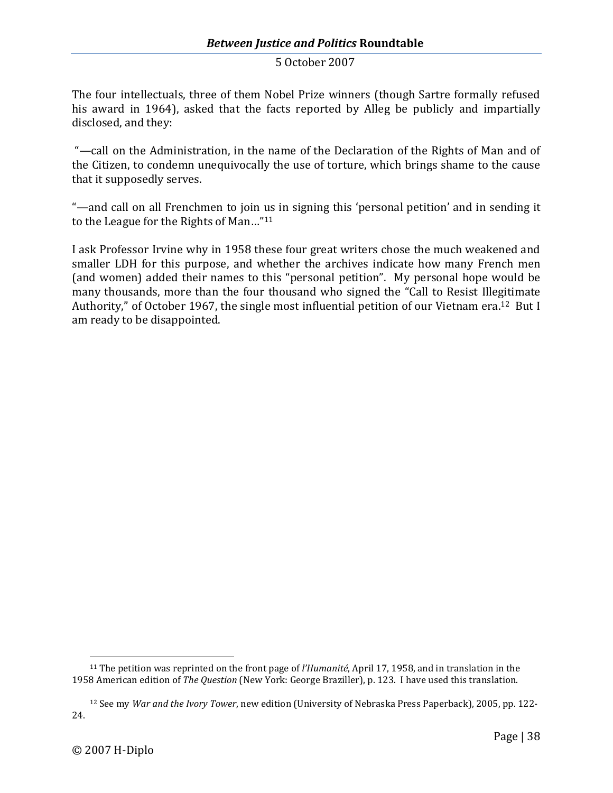The four intellectuals, three of them Nobel Prize winners (though Sartre formally refused his award in 1964), asked that the facts reported by Alleg be publicly and impartially disclosed, and they:

"—call on the Administration, in the name of the Declaration of the Rights of Man and of the Citizen, to condemn unequivocally the use of torture, which brings shame to the cause that it supposedly serves.

"—and call on all Frenchmen to join us in signing this 'personal petition' and in sending it to the League for the RightsofMan…["](#page-38-0) 11

I ask Professor Irvine why in 1958 these four great writers chose the much weakened and smaller LDH for this purpose, and whether the archives indicate how many French men (and women) added their names to this "personal petition". My personal hope would be many thousands, more than the four thousand who signed the "Call to Resist Illegitimate Authority,"of October 1967, the single most influential petition of our Vietnam era.<sup>12</sup> But I am ready to be disappointed.

<span id="page-38-0"></span><sup>11</sup> The petition was reprinted on the front page of *l'Humanité*, April 17, 1958, and in translation in the 1958 American edition of *The Question* (New York: George Braziller), p. 123. I have used this translation.

<span id="page-38-1"></span><sup>12</sup> See my *War and the Ivory Tower*, new edition (University of Nebraska Press Paperback), 2005, pp. 122- 24.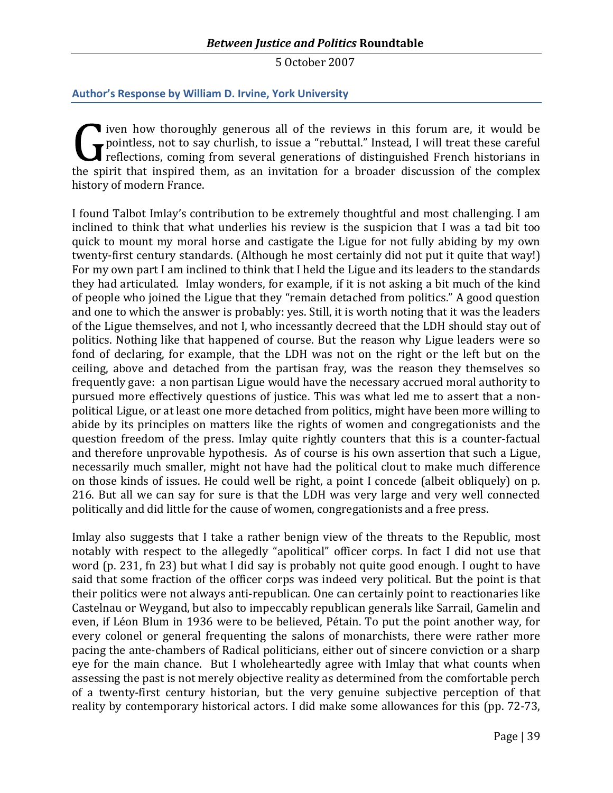## <span id="page-39-0"></span>**Author's Response by William D. Irvine, York University**

**T** iven how thoroughly generous all of the reviews in this forum are, it would be pointless, not to say churlish, to issue a "rebuttal." Instead, I will treat these careful reflections, coming from several generations of distinguished French historians in the spirit that inspired them, as an invitation for a broader discussion of the complex history of modern France.

I found Talbot Imlay's contribution to be extremely thoughtful and most challenging. I am inclined to think that what underlies his review is the suspicion that I was a tad bit too quick to mount my moral horse and castigate the Ligue for not fully abiding by my own twenty-first century standards. (Although he most certainly did not put it quite that way!) For my own part I am inclined to think that I held the Ligue and its leaders to the standards they had articulated. Imlay wonders, for example, if it is not asking a bit much of the kind of people who joined the Ligue that they "remain detached from politics." A good question and one to which the answer is probably: yes. Still, it is worth noting that it was the leaders of the Ligue themselves, and not I, who incessantly decreed that the LDH should stay out of politics. Nothing like that happened of course. But the reason why Ligue leaders were so fond of declaring, for example, that the LDH was not on the right or the left but on the ceiling, above and detached from the partisan fray, was the reason they themselves so frequently gave: a non partisan Ligue would have the necessary accrued moral authority to pursued more effectively questions of justice. This was what led me to assert that a nonpolitical Ligue, or at least one more detached from politics, might have been more willing to abide by its principles on matters like the rights of women and congregationists and the question freedom of the press. Imlay quite rightly counters that this is a counter-factual and therefore unprovable hypothesis. As of course is his own assertion that such a Ligue, necessarily much smaller, might not have had the political clout to make much difference on those kinds of issues. He could well be right, a point I concede (albeit obliquely) on p. 216. But all we can say for sure is that the LDH was very large and very well connected politically and did little for the cause of women, congregationists and a free press.

Imlay also suggests that I take a rather benign view of the threats to the Republic, most notably with respect to the allegedly "apolitical" officer corps. In fact I did not use that word (p. 231, fn 23) but what I did say is probably not quite good enough. I ought to have said that some fraction of the officer corps was indeed very political. But the point is that their politics were not always anti-republican. One can certainly point to reactionaries like Castelnau or Weygand, but also to impeccably republican generals like Sarrail, Gamelin and even, if Léon Blum in 1936 were to be believed, Pétain. To put the point another way, for every colonel or general frequenting the salons of monarchists, there were rather more pacing the ante-chambers of Radical politicians, either out of sincere conviction or a sharp eye for the main chance. But I wholeheartedly agree with Imlay that what counts when assessing the past is not merely objective reality as determined from the comfortable perch of a twenty-first century historian, but the very genuine subjective perception of that reality by contemporary historical actors. I did make some allowances for this (pp. 72-73,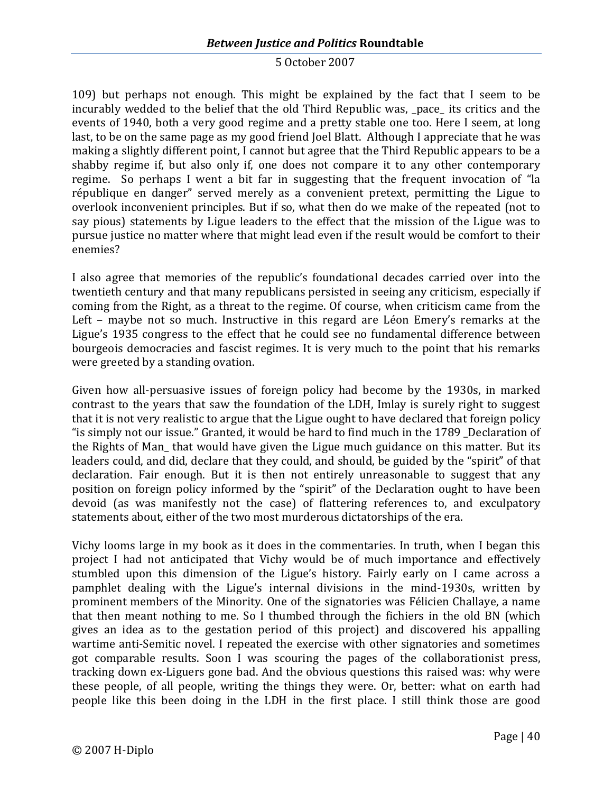109) but perhaps not enough. This might be explained by the fact that I seem to be incurably wedded to the belief that the old Third Republic was, pace its critics and the events of 1940, both a very good regime and a pretty stable one too. Here I seem, at long last, to be on the same page as my good friend Joel Blatt. Although I appreciate that he was making a slightly different point, I cannot but agree that the Third Republic appears to be a shabby regime if, but also only if, one does not compare it to any other contemporary regime. So perhaps I went a bit far in suggesting that the frequent invocation of "la république en danger" served merely as a convenient pretext, permitting the Ligue to overlook inconvenient principles. But if so, what then do we make of the repeated (not to say pious) statements by Ligue leaders to the effect that the mission of the Ligue was to pursue justice no matter where that might lead even if the result would be comfort to their enemies?

I also agree that memories of the republic's foundational decades carried over into the twentieth century and that many republicans persisted in seeing any criticism, especially if coming from the Right, as a threat to the regime. Of course, when criticism came from the Left – maybe not so much. Instructive in this regard are Léon Emery's remarks at the Ligue's 1935 congress to the effect that he could see no fundamental difference between bourgeois democracies and fascist regimes. It is very much to the point that his remarks were greeted by a standing ovation.

Given how all-persuasive issues of foreign policy had become by the 1930s, in marked contrast to the years that saw the foundation of the LDH, Imlay is surely right to suggest that it is not very realistic to argue that the Ligue ought to have declared that foreign policy "is simply not our issue." Granted, it would be hard to find much in the 1789 Declaration of the Rights of Man\_ that would have given the Ligue much guidance on this matter. But its leaders could, and did, declare that they could, and should, be guided by the "spirit" of that declaration. Fair enough. But it is then not entirely unreasonable to suggest that any position on foreign policy informed by the "spirit" of the Declaration ought to have been devoid (as was manifestly not the case) of flattering references to, and exculpatory statements about, either of the two most murderous dictatorships of the era.

Vichy looms large in my book as it does in the commentaries. In truth, when I began this project I had not anticipated that Vichy would be of much importance and effectively stumbled upon this dimension of the Ligue's history. Fairly early on I came across a pamphlet dealing with the Ligue's internal divisions in the mind-1930s, written by prominent members of the Minority. One of the signatories was Félicien Challaye, a name that then meant nothing to me. So I thumbed through the fichiers in the old BN (which gives an idea as to the gestation period of this project) and discovered his appalling wartime anti-Semitic novel. I repeated the exercise with other signatories and sometimes got comparable results. Soon I was scouring the pages of the collaborationist press, tracking down ex-Liguers gone bad. And the obvious questions this raised was: why were these people, of all people, writing the things they were. Or, better: what on earth had people like this been doing in the LDH in the first place. I still think those are good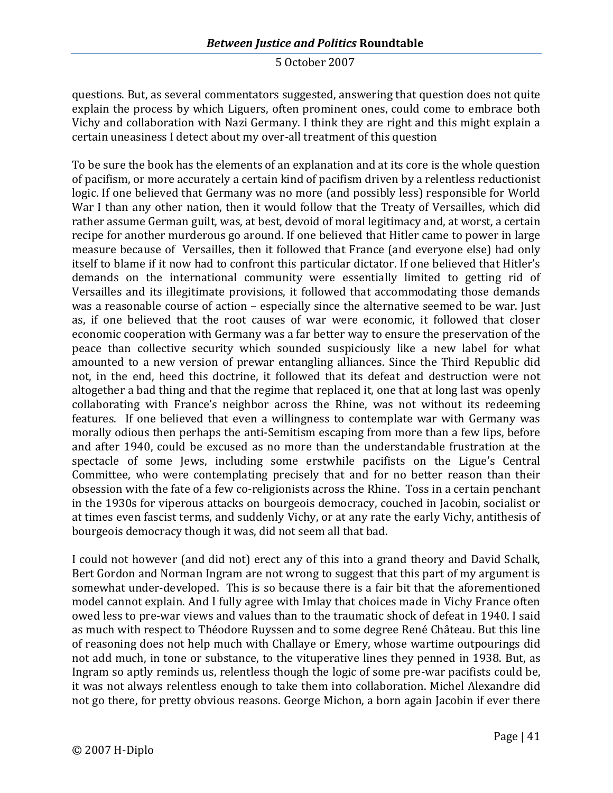questions. But, as several commentators suggested, answering that question does not quite explain the process by which Liguers, often prominent ones, could come to embrace both Vichy and collaboration with Nazi Germany. I think they are right and this might explain a certain uneasiness I detect about my over-all treatment of this question

To be sure the book has the elements of an explanation and at its core is the whole question of pacifism, or more accurately a certain kind of pacifism driven by a relentless reductionist logic. If one believed that Germany was no more (and possibly less) responsible for World War I than any other nation, then it would follow that the Treaty of Versailles, which did rather assume German guilt, was, at best, devoid of moral legitimacy and, at worst, a certain recipe for another murderous go around. If one believed that Hitler came to power in large measure because of Versailles, then it followed that France (and everyone else) had only itself to blame if it now had to confront this particular dictator. If one believed that Hitler's demands on the international community were essentially limited to getting rid of Versailles and its illegitimate provisions, it followed that accommodating those demands was a reasonable course of action – especially since the alternative seemed to be war. Just as, if one believed that the root causes of war were economic, it followed that closer economic cooperation with Germany was a far better way to ensure the preservation of the peace than collective security which sounded suspiciously like a new label for what amounted to a new version of prewar entangling alliances. Since the Third Republic did not, in the end, heed this doctrine, it followed that its defeat and destruction were not altogether a bad thing and that the regime that replaced it, one that at long last was openly collaborating with France's neighbor across the Rhine, was not without its redeeming features. If one believed that even a willingness to contemplate war with Germany was morally odious then perhaps the anti-Semitism escaping from more than a few lips, before and after 1940, could be excused as no more than the understandable frustration at the spectacle of some Jews, including some erstwhile pacifists on the Ligue's Central Committee, who were contemplating precisely that and for no better reason than their obsession with the fate of a few co-religionists across the Rhine. Toss in a certain penchant in the 1930s for viperous attacks on bourgeois democracy, couched in Jacobin, socialist or at times even fascist terms, and suddenly Vichy, or at any rate the early Vichy, antithesis of bourgeois democracy though it was, did not seem all that bad.

I could not however (and did not) erect any of this into a grand theory and David Schalk, Bert Gordon and Norman Ingram are not wrong to suggest that this part of my argument is somewhat under-developed. This is so because there is a fair bit that the aforementioned model cannot explain. And I fully agree with Imlay that choices made in Vichy France often owed less to pre-war views and values than to the traumatic shock of defeat in 1940. I said as much with respect to Théodore Ruyssen and to some degree René Château. But this line of reasoning does not help much with Challaye or Emery, whose wartime outpourings did not add much, in tone or substance, to the vituperative lines they penned in 1938. But, as Ingram so aptly reminds us, relentless though the logic of some pre-war pacifists could be, it was not always relentless enough to take them into collaboration. Michel Alexandre did not go there, for pretty obvious reasons. George Michon, a born again Jacobin if ever there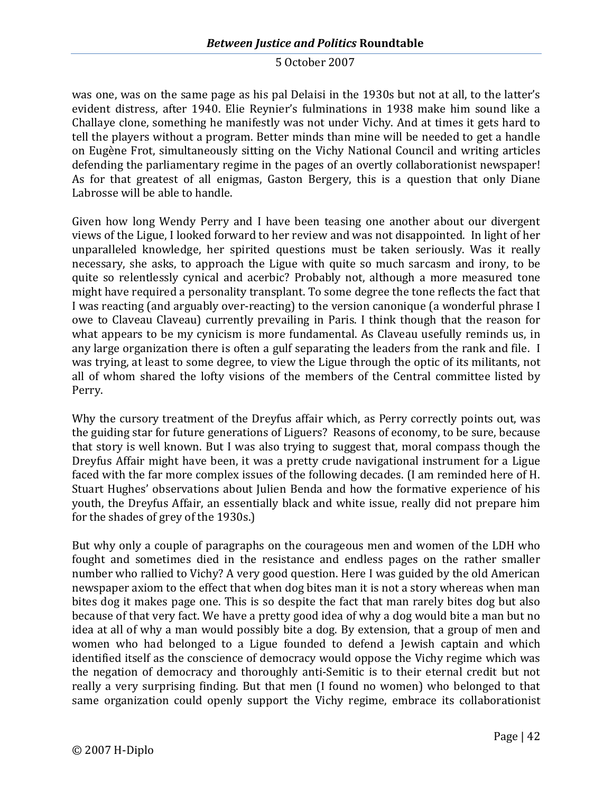was one, was on the same page as his pal Delaisi in the 1930s but not at all, to the latter's evident distress, after 1940. Elie Reynier's fulminations in 1938 make him sound like a Challaye clone, something he manifestly was not under Vichy. And at times it gets hard to tell the players without a program. Better minds than mine will be needed to get a handle on Eugène Frot, simultaneously sitting on the Vichy National Council and writing articles defending the parliamentary regime in the pages of an overtly collaborationist newspaper! As for that greatest of all enigmas, Gaston Bergery, this is a question that only Diane Labrosse will be able to handle.

Given how long Wendy Perry and I have been teasing one another about our divergent views of the Ligue, I looked forward to her review and was not disappointed. In light of her unparalleled knowledge, her spirited questions must be taken seriously. Was it really necessary, she asks, to approach the Ligue with quite so much sarcasm and irony, to be quite so relentlessly cynical and acerbic? Probably not, although a more measured tone might have required a personality transplant. To some degree the tone reflects the fact that I was reacting (and arguably over-reacting) to the version canonique (a wonderful phrase I owe to Claveau Claveau) currently prevailing in Paris. I think though that the reason for what appears to be my cynicism is more fundamental. As Claveau usefully reminds us, in any large organization there is often a gulf separating the leaders from the rank and file. I was trying, at least to some degree, to view the Ligue through the optic of its militants, not all of whom shared the lofty visions of the members of the Central committee listed by Perry.

Why the cursory treatment of the Dreyfus affair which, as Perry correctly points out, was the guiding star for future generations of Liguers? Reasons of economy, to be sure, because that story is well known. But I was also trying to suggest that, moral compass though the Dreyfus Affair might have been, it was a pretty crude navigational instrument for a Ligue faced with the far more complex issues of the following decades. (I am reminded here of H. Stuart Hughes' observations about Julien Benda and how the formative experience of his youth, the Dreyfus Affair, an essentially black and white issue, really did not prepare him for the shades of grey of the 1930s.)

But why only a couple of paragraphs on the courageous men and women of the LDH who fought and sometimes died in the resistance and endless pages on the rather smaller number who rallied to Vichy? A very good question. Here I was guided by the old American newspaper axiom to the effect that when dog bites man it is not a story whereas when man bites dog it makes page one. This is so despite the fact that man rarely bites dog but also because of that very fact. We have a pretty good idea of why a dog would bite a man but no idea at all of why a man would possibly bite a dog. By extension, that a group of men and women who had belonged to a Ligue founded to defend a Jewish captain and which identified itself as the conscience of democracy would oppose the Vichy regime which was the negation of democracy and thoroughly anti-Semitic is to their eternal credit but not really a very surprising finding. But that men (I found no women) who belonged to that same organization could openly support the Vichy regime, embrace its collaborationist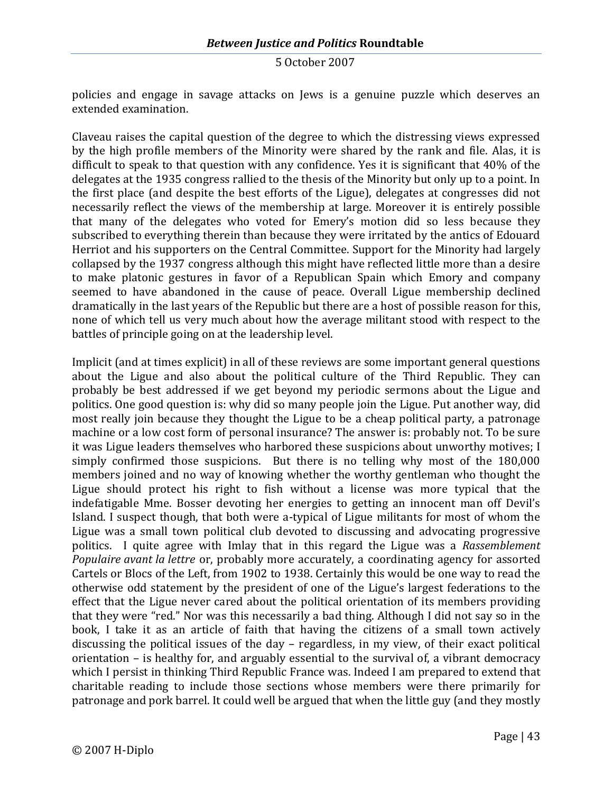policies and engage in savage attacks on Jews is a genuine puzzle which deserves an extended examination.

Claveau raises the capital question of the degree to which the distressing views expressed by the high profile members of the Minority were shared by the rank and file. Alas, it is difficult to speak to that question with any confidence. Yes it is significant that 40% of the delegates at the 1935 congress rallied to the thesis of the Minority but only up to a point. In the first place (and despite the best efforts of the Ligue), delegates at congresses did not necessarily reflect the views of the membership at large. Moreover it is entirely possible that many of the delegates who voted for Emery's motion did so less because they subscribed to everything therein than because they were irritated by the antics of Edouard Herriot and his supporters on the Central Committee. Support for the Minority had largely collapsed by the 1937 congress although this might have reflected little more than a desire to make platonic gestures in favor of a Republican Spain which Emory and company seemed to have abandoned in the cause of peace. Overall Ligue membership declined dramatically in the last years of the Republic but there are a host of possible reason for this, none of which tell us very much about how the average militant stood with respect to the battles of principle going on at the leadership level.

Implicit (and at times explicit) in all of these reviews are some important general questions about the Ligue and also about the political culture of the Third Republic. They can probably be best addressed if we get beyond my periodic sermons about the Ligue and politics. One good question is: why did so many people join the Ligue. Put another way, did most really join because they thought the Ligue to be a cheap political party, a patronage machine or a low cost form of personal insurance? The answer is: probably not. To be sure it was Ligue leaders themselves who harbored these suspicions about unworthy motives; I simply confirmed those suspicions. But there is no telling why most of the 180,000 members joined and no way of knowing whether the worthy gentleman who thought the Ligue should protect his right to fish without a license was more typical that the indefatigable Mme. Bosser devoting her energies to getting an innocent man off Devil's Island. I suspect though, that both were a-typical of Ligue militants for most of whom the Ligue was a small town political club devoted to discussing and advocating progressive politics. I quite agree with Imlay that in this regard the Ligue was a *Rassemblement Populaire avant la lettre* or, probably more accurately, a coordinating agency for assorted Cartels or Blocs of the Left, from 1902 to 1938. Certainly this would be one way to read the otherwise odd statement by the president of one of the Ligue's largest federations to the effect that the Ligue never cared about the political orientation of its members providing that they were "red." Nor was this necessarily a bad thing. Although I did not say so in the book, I take it as an article of faith that having the citizens of a small town actively discussing the political issues of the day – regardless, in my view, of their exact political orientation – is healthy for, and arguably essential to the survival of, a vibrant democracy which I persist in thinking Third Republic France was. Indeed I am prepared to extend that charitable reading to include those sections whose members were there primarily for patronage and pork barrel. It could well be argued that when the little guy (and they mostly